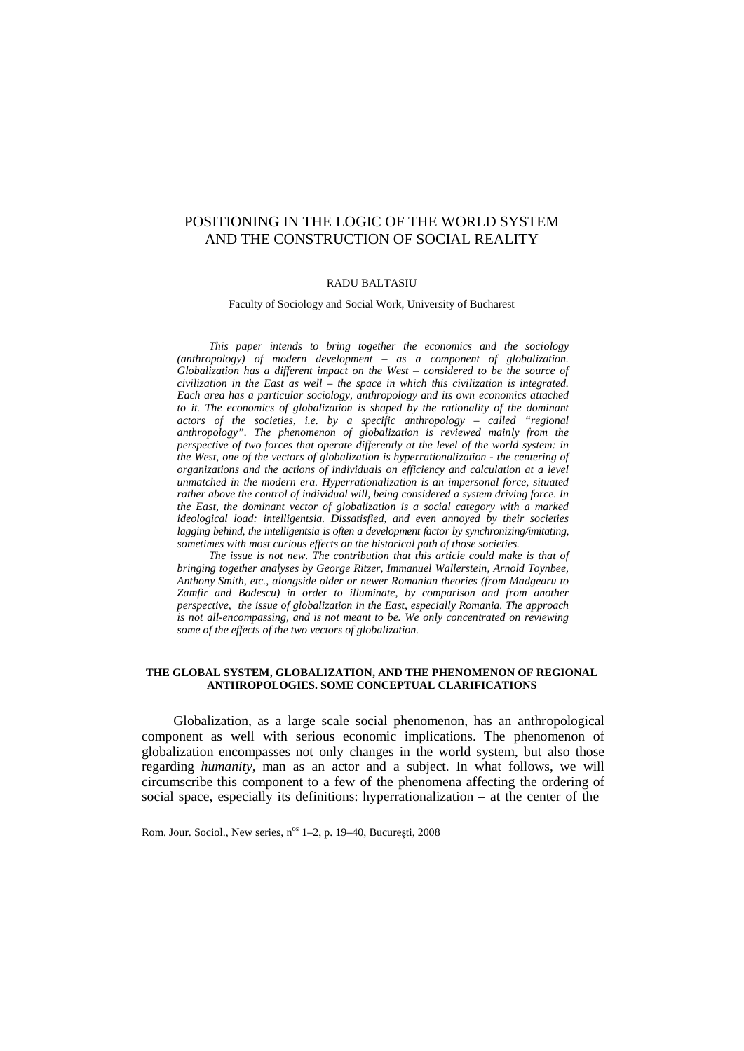# POSITIONING IN THE LOGIC OF THE WORLD SYSTEM AND THE CONSTRUCTION OF SOCIAL REALITY

#### RADU BALTASIU

Faculty of Sociology and Social Work, University of Bucharest

*This paper intends to bring together the economics and the sociology (anthropology) of modern development – as a component of globalization. Globalization has a different impact on the West – considered to be the source of civilization in the East as well – the space in which this civilization is integrated. Each area has a particular sociology, anthropology and its own economics attached to it.* The economics of globalization is shaped by the rationality of the dominant *actors of the societies, i.e. by a specific anthropology – called "regional anthropology". The phenomenon of globalization is reviewed mainly from the perspective of two forces that operate differently at the level of the world system: in the West, one of the vectors of globalization is hyperrationalization - the centering of organizations and the actions of individuals on efficiency and calculation at a level unmatched in the modern era. Hyperrationalization is an impersonal force, situated rather above the control of individual will, being considered a system driving force. In the East, the dominant vector of globalization is a social category with a marked ideological load: intelligentsia. Dissatisfied, and even annoyed by their societies lagging behind, the intelligentsia is often a development factor by synchronizing/imitating, sometimes with most curious effects on the historical path of those societies.*

*The issue is not new. The contribution that this article could make is that of bringing together analyses by George Ritzer, Immanuel Wallerstein, Arnold Toynbee, Anthony Smith, etc., alongside older or newer Romanian theories (from Madgearu to Zamfir and Badescu) in order to illuminate, by comparison and from another perspective, the issue of globalization in the East, especially Romania. The approach is not all-encompassing, and is not meant to be. We only concentrated on reviewing some of the effects of the two vectors of globalization.*

#### **THE GLOBAL SYSTEM, GLOBALIZATION, AND THE PHENOMENON OF REGIONAL ANTHROPOLOGIES. SOME CONCEPTUAL CLARIFICATIONS**

Globalization, as a large scale social phenomenon, has an anthropological component as well with serious economic implications. The phenomenon of globalization encompasses not only changes in the world system, but also those regarding *humanity*, man as an actor and a subject. In what follows, we will circumscribe this component to a few of the phenomena affecting the ordering of social space, especially its definitions: hyperrationalization – at the center of the

Rom. Jour. Sociol., New series, n<sup>os</sup> 1–2, p. 19–40, Bucure ti, 2008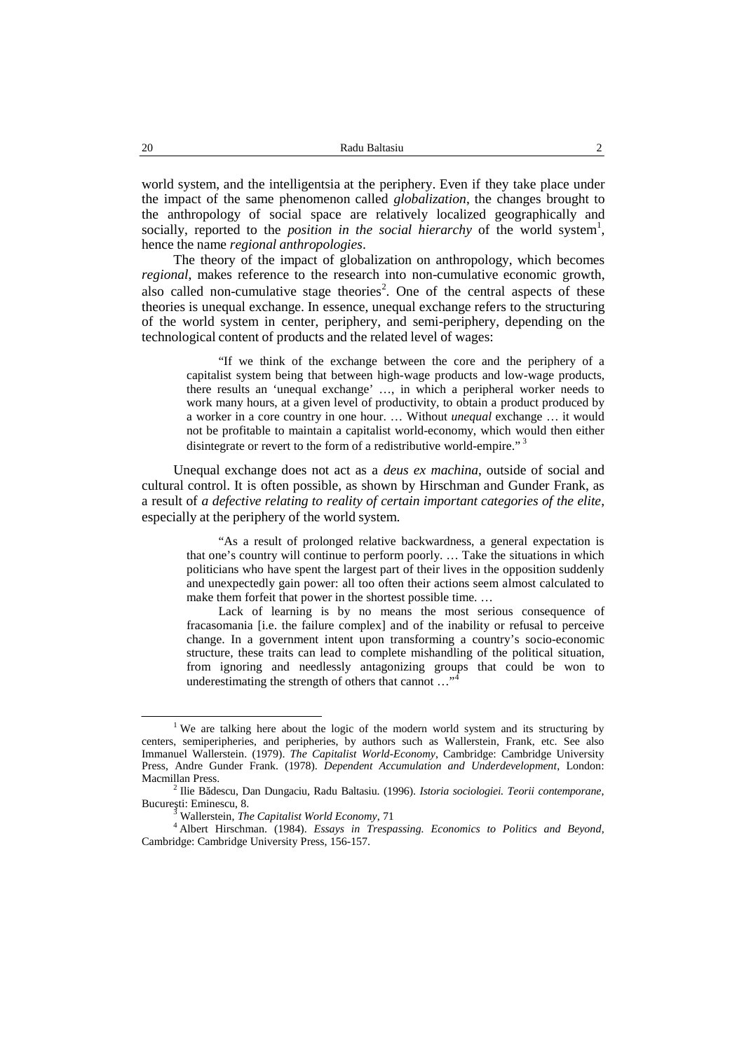world system, and the intelligentsia at the periphery. Even if they take place under the impact of the same phenomenon called *globalization*, the changes brought to the anthropology of social space are relatively localized geographically and socially, reported to the *position in the social hierarchy* of the world system<sup>1</sup>, hence the name *regional anthropologies*.

The theory of the impact of globalization on anthropology, which becomes *regional*, makes reference to the research into non-cumulative economic growth, also called non-cumulative stage theories<sup>2</sup>. One of the central aspects of these theories is unequal exchange. In essence, unequal exchange refers to the structuring of the world system in center, periphery, and semi-periphery, depending on the technological content of products and the related level of wages:

"If we think of the exchange between the core and the periphery of a capitalist system being that between high-wage products and low-wage products, there results an 'unequal exchange' …, in which a peripheral worker needs to work many hours, at a given level of productivity, to obtain a product produced by a worker in a core country in one hour. … Without *unequal* exchange … it would not be profitable to maintain a capitalist world-economy, which would then either disintegrate or revert to the form of a redistributive world-empire."<sup>3</sup>

Unequal exchange does not act as a *deus ex machina*, outside of social and cultural control. It is often possible, as shown by Hirschman and Gunder Frank, as a result of *a defective relating to reality of certain important categories of the elite*, especially at the periphery of the world system.

"As a result of prolonged relative backwardness, a general expectation is that one's country will continue to perform poorly. … Take the situations in which politicians who have spent the largest part of their lives in the opposition suddenly and unexpectedly gain power: all too often their actions seem almost calculated to make them forfeit that power in the shortest possible time. …

Lack of learning is by no means the most serious consequence of fracasomania [i.e. the failure complex] and of the inability or refusal to perceive change. In a government intent upon transforming a country's socio-economic structure, these traits can lead to complete mishandling of the political situation, from ignoring and needlessly antagonizing groups that could be won to underestimating the strength of others that cannot  $\dots$ <sup>4</sup>

<sup>&</sup>lt;sup>1</sup> We are talking here about the logic of the modern world system and its structuring by centers, semiperipheries, and peripheries, by authors such as Wallerstein, Frank, etc. See also Immanuel Wallerstein. (1979). *The Capitalist World-Economy*, Cambridge: Cambridge University Press, Andre Gunder Frank. (1978). *Dependent Accumulation and Underdevelopment*, London: Macmillan Press. <sup>2</sup> Ilie Bădescu, Dan Dungaciu, Radu Baltasiu. (1996). *Istoria sociologiei. Teorii contemporane*,

Bucure ti: Eminescu, 8.<br><sup>3</sup> Wallerstein, *The Capitalist World Economy*, 71

<sup>4</sup> Albert Hirschman. (1984). *Essays in Trespassing. Economics to Politics and Beyond*, Cambridge: Cambridge University Press, 156-157.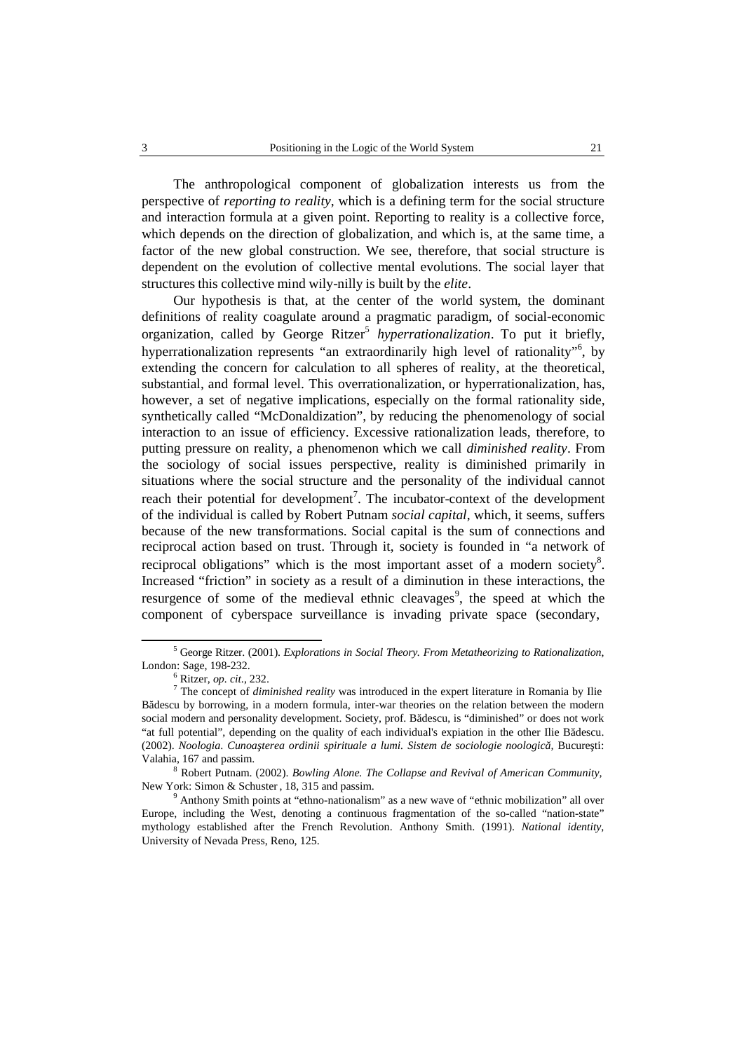The anthropological component of globalization interests us from the perspective of *reporting to reality*, which is a defining term for the social structure and interaction formula at a given point. Reporting to reality is a collective force, which depends on the direction of globalization, and which is, at the same time, a factor of the new global construction. We see, therefore, that social structure is dependent on the evolution of collective mental evolutions. The social layer that structures this collective mind wily-nilly is built by the *elite*.

Our hypothesis is that, at the center of the world system, the dominant definitions of reality coagulate around a pragmatic paradigm, of social-economic organization, called by George Ritzer <sup>5</sup> *hyperrationalization*. To put it briefly, hyperrationalization represents "an extraordinarily high level of rationality"<sup>6</sup>, by extending the concern for calculation to all spheres of reality, at the theoretical, substantial, and formal level. This overrationalization, or hyperrationalization, has, however, a set of negative implications, especially on the formal rationality side, synthetically called "McDonaldization", by reducing the phenomenology of social interaction to an issue of efficiency. Excessive rationalization leads, therefore, to putting pressure on reality, a phenomenon which we call *diminished reality*. From the sociology of social issues perspective, reality is diminished primarily in situations where the social structure and the personality of the individual cannot reach their potential for development<sup>7</sup>. The incubator-context of the development of the individual is called by Robert Putnam *social capital*, which, it seems, suffers because of the new transformations. Social capital is the sum of connections and reciprocal action based on trust. Through it, society is founded in "a network of reciprocal obligations" which is the most important asset of a modern society<sup>8</sup>. Increased "friction" in society as a result of a diminution in these interactions, the resurgence of some of the medieval ethnic cleavages<sup>9</sup>, the speed at which the component of cyberspace surveillance is invading private space (secondary,

<sup>5</sup> George Ritzer. (2001). *Explorations in Social Theory. From Metatheorizing to Rationalization*, London: Sage, 198-232.<br><sup>6</sup> Ritzer, *op. cit.*, 232.

<sup>&</sup>lt;sup>7</sup> The concept of *diminished reality* was introduced in the expert literature in Romania by Ilie Bădescu by borrowing, in a modern formula, inter-war theories on the relation between the modern social modern and personality development. Society, prof. B descu, is "diminished" or does not work "at full potential", depending on the quality of each individual's expiation in the other Ilie B descu. (2002). *Noologia*. *Cunoaşterea ordinii spirituale a lumi. Sistem de sociologie noologic ,* Bucureşti: Valahia, 167 and passim.

<sup>8</sup> Robert Putnam. (2002). *Bowling Alone. The Collapse and Revival of American Community,* New York: Simon & Schuster , 18, 315 and passim.

 $9$  Anthony Smith points at "ethno-nationalism" as a new wave of "ethnic mobilization" all over Europe, including the West, denoting a continuous fragmentation of the so-called "nation-state" mythology established after the French Revolution. Anthony Smith. (1991). *National identity*, University of Nevada Press, Reno, 125.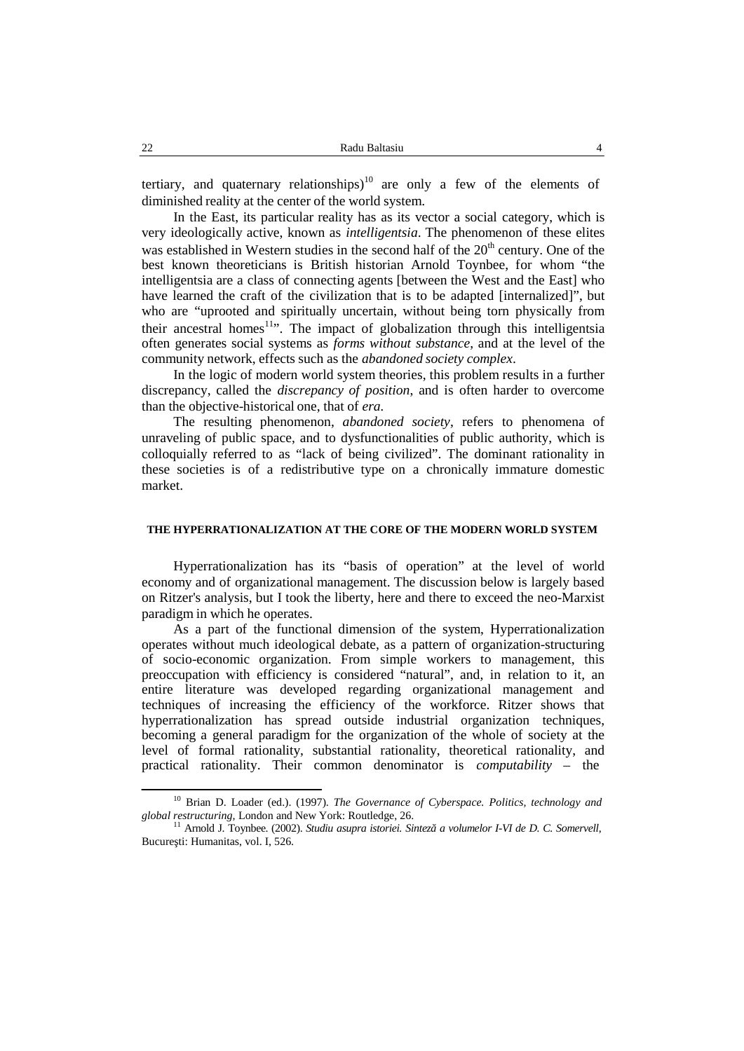tertiary, and quaternary relationships) $10$  are only a few of the elements of diminished reality at the center of the world system.

In the East, its particular reality has as its vector a social category, which is very ideologically active, known as *intelligentsia*. The phenomenon of these elites was established in Western studies in the second half of the  $20<sup>th</sup>$  century. One of the best known theoreticians is British historian Arnold Toynbee, for whom "the intelligentsia are a class of connecting agents [between the West and the East] who have learned the craft of the civilization that is to be adapted [internalized]", but who are "uprooted and spiritually uncertain, without being torn physically from their ancestral homes<sup>11</sup>". The impact of globalization through this intelligentsia often generates social systems as *forms without substance*, and at the level of the community network, effects such as the *abandoned society complex*.

In the logic of modern world system theories, this problem results in a further discrepancy, called the *discrepancy of position*, and is often harder to overcome than the objective-historical one, that of *era.*

The resulting phenomenon, *abandoned society*, refers to phenomena of unraveling of public space, and to dysfunctionalities of public authority, which is colloquially referred to as "lack of being civilized". The dominant rationality in these societies is of a redistributive type on a chronically immature domestic market.

# **THE HYPERRATIONALIZATION AT THE CORE OF THE MODERN WORLD SYSTEM**

Hyperrationalization has its "basis of operation" at the level of world economy and of organizational management. The discussion below is largely based on Ritzer's analysis, but I took the liberty, here and there to exceed the neo-Marxist paradigm in which he operates.

As a part of the functional dimension of the system, Hyperrationalization operates without much ideological debate, as a pattern of organization-structuring of socio-economic organization. From simple workers to management, this preoccupation with efficiency is considered "natural", and, in relation to it, an entire literature was developed regarding organizational management and techniques of increasing the efficiency of the workforce. Ritzer shows that hyperrationalization has spread outside industrial organization techniques, becoming a general paradigm for the organization of the whole of society at the level of formal rationality, substantial rationality, theoretical rationality, and practical rationality. Their common denominator is *computability* – the

<sup>&</sup>lt;sup>10</sup> Brian D. Loader (ed.). (1997). *The Governance of Cyberspace. Politics, technology and* global restructuring, London and New York: Routledge, 26.<br><sup>11</sup> Arnold J. Toynbee. (2002). *Studiu asupra istoriei. Sintez a volumelor I-VI de D. C. Somervell.* 

Bucure ti: Humanitas, vol. I, 526.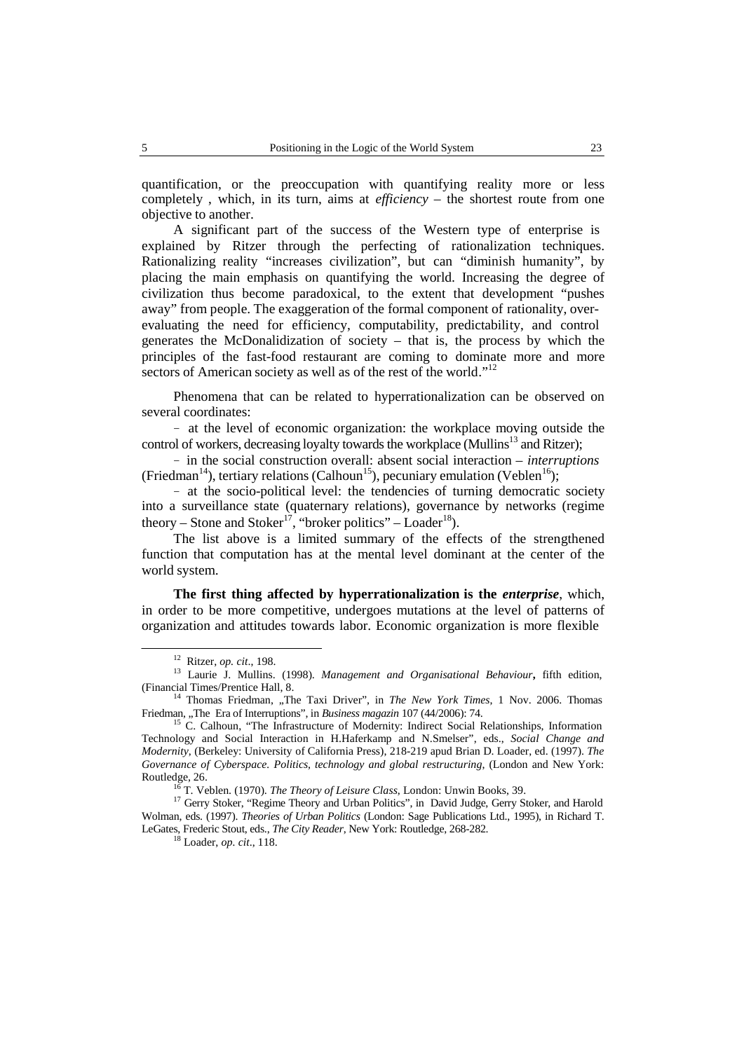quantification, or the preoccupation with quantifying reality more or less completely , which, in its turn, aims at *efficiency* – the shortest route from one objective to another.

A significant part of the success of the Western type of enterprise is explained by Ritzer through the perfecting of rationalization techniques. Rationalizing reality "increases civilization", but can "diminish humanity", by placing the main emphasis on quantifying the world. Increasing the degree of civilization thus become paradoxical, to the extent that development "pushes away" from people. The exaggeration of the formal component of rationality, over evaluating the need for efficiency, computability, predictability, and control generates the McDonalidization of society – that is, the process by which the principles of the fast-food restaurant are coming to dominate more and more sectors of American society as well as of the rest of the world."<sup>12</sup>

Phenomena that can be related to hyperrationalization can be observed on several coordinates:

− at the level of economic organization: the workplace moving outside the control of workers, decreasing loyalty towards the workplace (Mullins<sup>13</sup> and Ritzer);

− in the social construction overall: absent social interaction – *interruptions* (Friedman<sup>14</sup>), tertiary relations (Calhoun<sup>15</sup>), pecuniary emulation (Veblen<sup>16</sup>);

− at the socio-political level: the tendencies of turning democratic society into a surveillance state (quaternary relations), governance by networks (regime theory – Stone and Stoker<sup>17</sup>, "broker politics" – Loader<sup>18</sup>).

The list above is a limited summary of the effects of the strengthened function that computation has at the mental level dominant at the center of the world system.

**The first thing affected by hyperrationalization is the** *enterprise*, which, in order to be more competitive, undergoes mutations at the level of patterns of organization and attitudes towards labor. Economic organization is more flexible

<sup>12</sup> Ritzer, *op. cit*., 198. <sup>13</sup> Laurie J. Mullins. (1998). *Management and Organisational Behaviour***,** fifth edition, (Financial Times/Prentice Hall, 8. <sup>14</sup> Thomas Friedman, "The Taxi Driver", in *The New York Times*, <sup>1</sup> Nov. 2006. Thomas

Friedman, "The Era of Interruptions", in *Business magazin* 107 (44/2006): 74.<br><sup>15</sup> C. Calhoun, "The Infrastructure of Modernity: Indirect Social Relationships, Information

Technology and Social Interaction in H.Haferkamp and N.Smelser", eds., *Social Change and Modernity*, (Berkeley: University of California Press), 218-219 apud Brian D. Loader, ed. (1997). *The Governance of Cyberspace. Politics, technology and global restructuring*, (London and New York: Routledge, 26.<br><sup>16</sup> T. Veblen. (1970). *The Theory of Leisure Class*, London: Unwin Books, 39.

<sup>&</sup>lt;sup>17</sup> Gerry Stoker, "Regime Theory and Urban Politics", in David Judge, Gerry Stoker, and Harold Wolman, eds. (1997). *Theories of Urban Politics* (London: Sage Publications Ltd., 1995), in Richard T. LeGates, Frederic Stout, eds., *The City Reader*, New York: Routledge, 268-282. <sup>18</sup> Loader, *op. cit*., 118.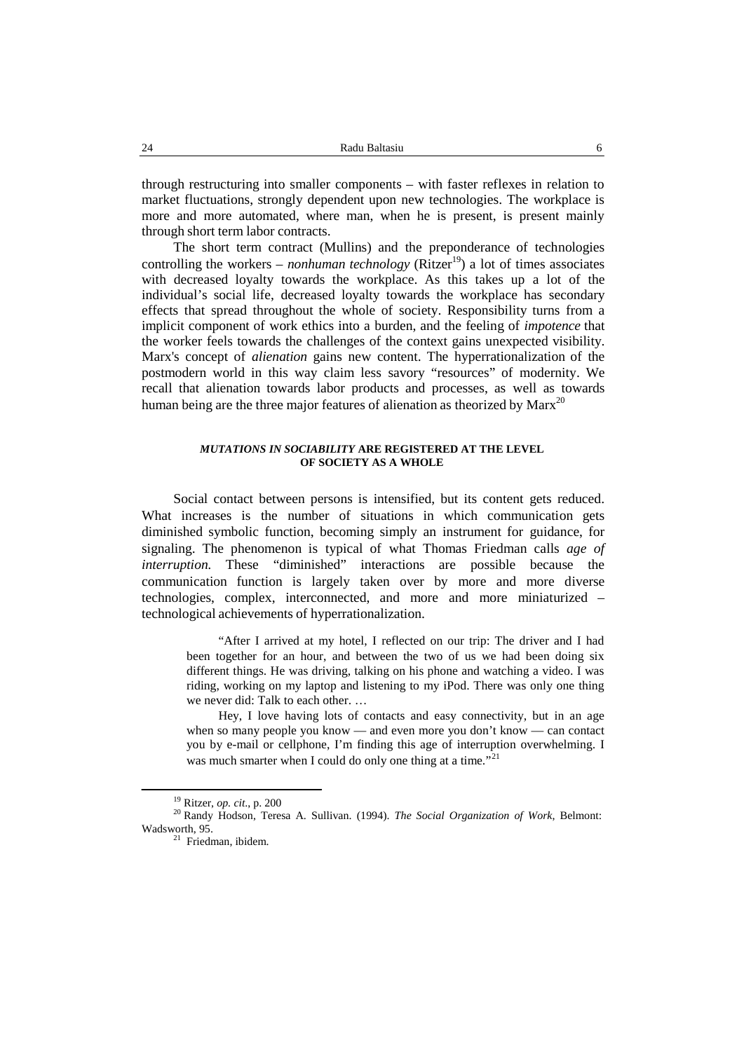through restructuring into smaller components – with faster reflexes in relation to market fluctuations, strongly dependent upon new technologies. The workplace is more and more automated, where man, when he is present, is present mainly through short term labor contracts.

The short term contract (Mullins) and the preponderance of technologies controlling the workers – *nonhuman technology* (Ritzer <sup>19</sup>) a lot of times associates with decreased loyalty towards the workplace. As this takes up a lot of the individual's social life, decreased loyalty towards the workplace has secondary effects that spread throughout the whole of society. Responsibility turns from a implicit component of work ethics into a burden, and the feeling of *impotence* that the worker feels towards the challenges of the context gains unexpected visibility. Marx's concept of *alienation* gains new content. The hyperrationalization of the postmodern world in this way claim less savory "resources" of modernity. We recall that alienation towards labor products and processes, as well as towards human being are the three major features of alienation as theorized by  $Mar^{20}$ 

## *MUTATIONS IN SOCIABILITY* **ARE REGISTERED AT THE LEVEL OF SOCIETY AS A WHOLE**

Social contact between persons is intensified, but its content gets reduced. What increases is the number of situations in which communication gets diminished symbolic function, becoming simply an instrument for guidance, for signaling. The phenomenon is typical of what Thomas Friedman calls *age of interruption.* These "diminished" interactions are possible because the communication function is largely taken over by more and more diverse technologies, complex, interconnected, and more and more miniaturized – technological achievements of hyperrationalization.

"After I arrived at my hotel, I reflected on our trip: The driver and I had been together for an hour, and between the two of us we had been doing six different things. He was driving, talking on his phone and watching a video. I was riding, working on my laptop and listening to my iPod. There was only one thing we never did: Talk to each other. …

Hey, I love having lots of contacts and easy connectivity, but in an age when so many people you know — and even more you don't know — can contact you by e-mail or cellphone, I'm finding this age of interruption overwhelming. I was much smarter when I could do only one thing at a time."<sup>21</sup>

<sup>19</sup> Ritzer, *op. cit*., p. 200

<sup>20</sup> Randy Hodson, Teresa A.Sullivan. (1994). *The Social Organization of Work*, Belmont:

 $21$  Friedman, ibidem.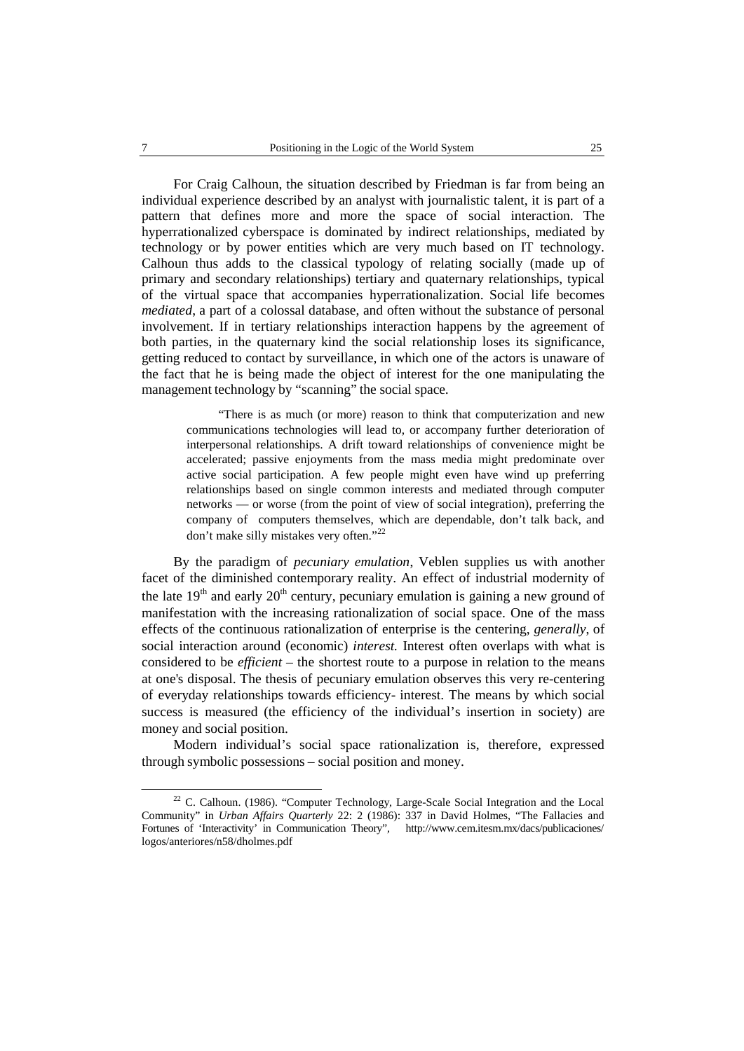For Craig Calhoun, the situation described by Friedman is far from being an individual experience described by an analyst with journalistic talent, it is part of a pattern that defines more and more the space of social interaction. The hyperrationalized cyberspace is dominated by indirect relationships, mediated by technology or by power entities which are very much based on IT technology. Calhoun thus adds to the classical typology of relating socially (made up of primary and secondary relationships) tertiary and quaternary relationships, typical of the virtual space that accompanies hyperrationalization. Social life becomes *mediated*, a part of a colossal database, and often without the substance of personal involvement. If in tertiary relationships interaction happens by the agreement of both parties, in the quaternary kind the social relationship loses its significance, getting reduced to contact by surveillance, in which one of the actors is unaware of the fact that he is being made the object of interest for the one manipulating the management technology by "scanning" the social space.

"There is as much (or more) reason to think that computerization and new communications technologies will lead to, or accompany further deterioration of interpersonal relationships. A drift toward relationships of convenience might be accelerated; passive enjoyments from the mass media might predominate over active social participation. A few people might even have wind up preferring relationships based on single common interests and mediated through computer networks — or worse (from the point of view of social integration), preferring the company of computers themselves, which are dependable, don't talk back, and don't make silly mistakes very often."<sup>22</sup>

By the paradigm of *pecuniary emulation*, Veblen supplies us with another facet of the diminished contemporary reality. An effect of industrial modernity of the late  $19<sup>th</sup>$  and early  $20<sup>th</sup>$  century, pecuniary emulation is gaining a new ground of manifestation with the increasing rationalization of social space. One of the mass effects of the continuous rationalization of enterprise is the centering, *generally*, of social interaction around (economic) *interest.* Interest often overlaps with what is considered to be *efficient* – the shortest route to a purpose in relation to the means at one's disposal. The thesis of pecuniary emulation observes this very re-centering of everyday relationships towards efficiency- interest. The means by which social success is measured (the efficiency of the individual's insertion in society) are money and social position.

Modern individual's social space rationalization is, therefore, expressed through symbolic possessions – social position and money.

<sup>&</sup>lt;sup>22</sup> C. Calhoun. (1986). "Computer Technology, Large-Scale Social Integration and the Local Community" in *Urban Affairs Quarterly* 22: 2 (1986): 337 in David Holmes, "The Fallacies and Fortunes of 'Interactivity' in Communication Theory"*,* http://www.cem.itesm.mx/dacs/publicaciones/ logos/anteriores/n58/dholmes.pdf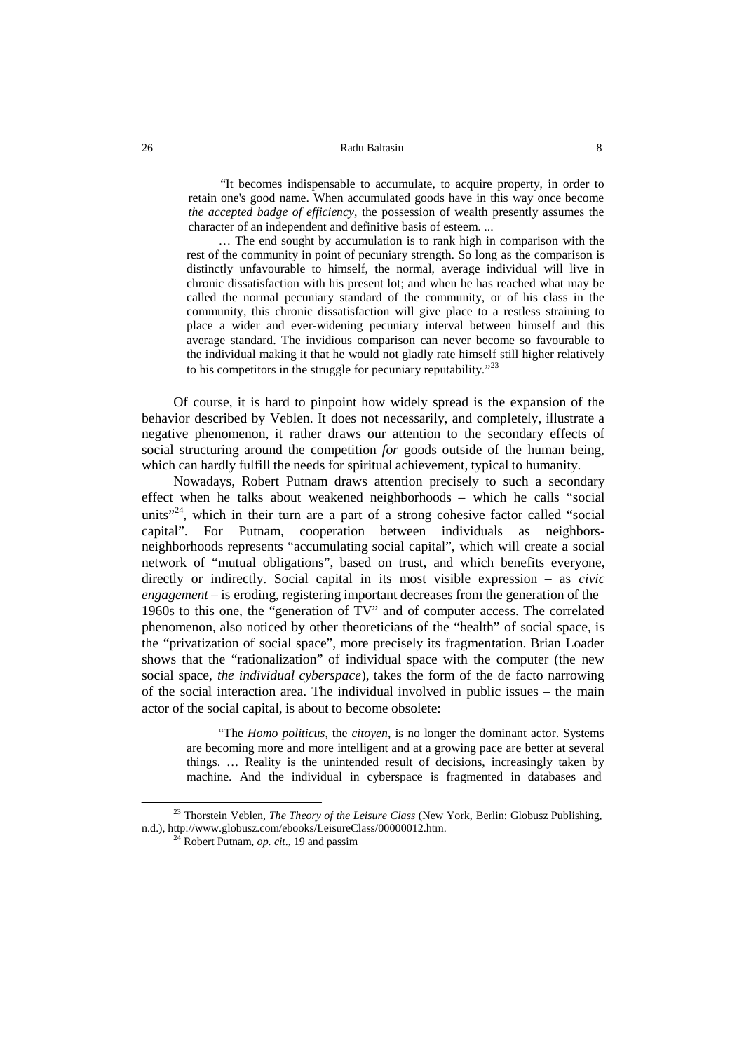"It becomes indispensable to accumulate, to acquire property, in order to retain one's good name. When accumulated goods have in this way once become *the accepted badge of efficiency*, the possession of wealth presently assumes the character of an independent and definitive basis of esteem. ...

... The end sought by accumulation is to rank high in comparison with the rest of the community in point of pecuniary strength. So long as the comparison is distinctly unfavourable to himself, the normal, average individual will live in chronic dissatisfaction with his present lot; and when he has reached what may be called the normal pecuniary standard of the community, or of his class in the community, this chronic dissatisfaction will give place to a restless straining to place a wider and ever-widening pecuniary interval between himself and this average standard. The invidious comparison can never become so favourable to the individual making it that he would not gladly rate himself still higher relatively to his competitors in the struggle for pecuniary reputability."<sup>23</sup>

Of course, it is hard to pinpoint how widely spread is the expansion of the behavior described by Veblen. It does not necessarily, and completely, illustrate a negative phenomenon, it rather draws our attention to the secondary effects of social structuring around the competition *for* goods outside of the human being, which can hardly fulfill the needs for spiritual achievement, typical to humanity.

Nowadays, Robert Putnam draws attention precisely to such a secondary effect when he talks about weakened neighborhoods – which he calls "social units"<sup>24</sup>, which in their turn are a part of a strong cohesive factor called "social capital". For Putnam, cooperation between individuals as neighbors neighborhoods represents "accumulating social capital", which will create a social network of "mutual obligations", based on trust, and which benefits everyone, directly or indirectly. Social capital in its most visible expression – as *civic engagement* – is eroding, registering important decreases from the generation of the 1960s to this one, the "generation of TV" and of computer access. The correlated phenomenon, also noticed by other theoreticians of the "health" of social space, is the "privatization of social space", more precisely its fragmentation. Brian Loader shows that the "rationalization" of individual space with the computer (the new social space, *the individual cyberspace*), takes the form of the de facto narrowing of the social interaction area. The individual involved in public issues – the main actor of the social capital, is about to become obsolete:

"The *Homo politicus*, the *citoyen*, is no longer the dominant actor. Systems are becoming more and more intelligent and at a growing pace are better at several things. … Reality is the unintended result of decisions, increasingly taken by machine. And the individual in cyberspace is fragmented in databases and

<sup>23</sup> Thorstein Veblen, *The Theory of the Leisure Class* (New York, Berlin: Globusz Publishing, n.d.), http://www.globusz.com/ebooks/LeisureClass/00000012.htm. <sup>24</sup> Robert Putnam, *op. cit*., 19 and passim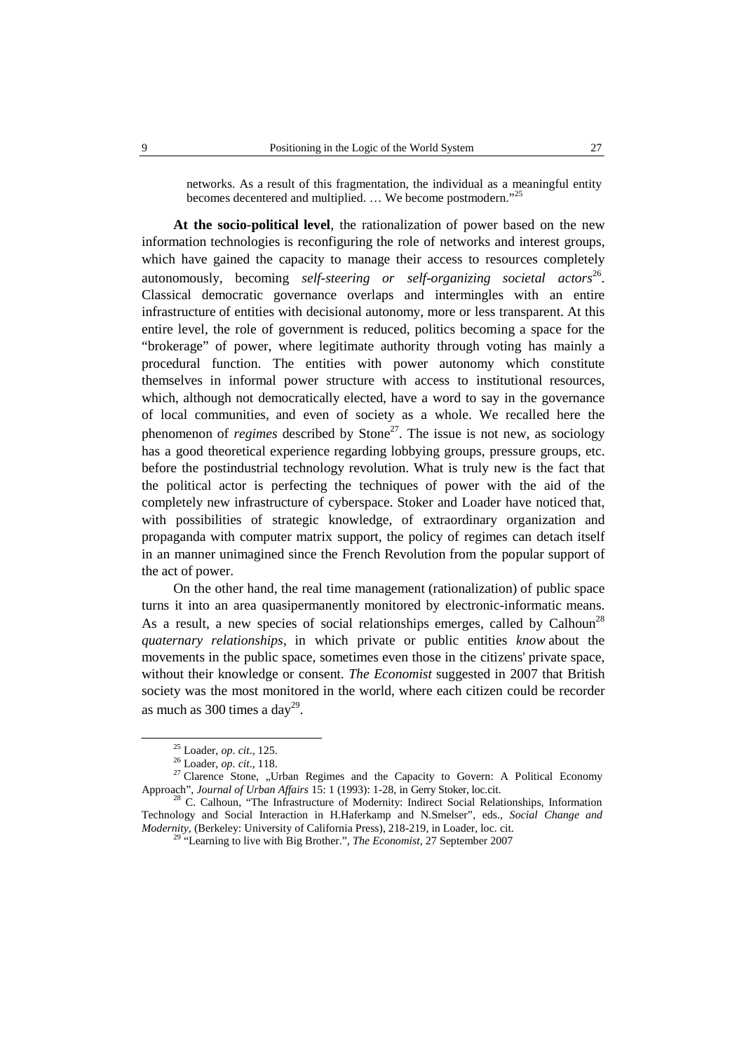networks. As a result of this fragmentation, the individual as a meaningful entity becomes decentered and multiplied. ... We become postmodern."<sup>25</sup>

**At the socio-political level**, the rationalization of power based on the new information technologies is reconfiguring the role of networks and interest groups, which have gained the capacity to manage their access to resources completely autonomously, becoming *self-steering or self-organizing societal actors* 26 . Classical democratic governance overlaps and intermingles with an entire infrastructure of entities with decisional autonomy, more or less transparent. At this entire level, the role of government is reduced, politics becoming a space for the "brokerage" of power, where legitimate authority through voting has mainly a procedural function. The entities with power autonomy which constitute themselves in informal power structure with access to institutional resources, which, although not democratically elected, have a word to say in the governance of local communities, and even of society as a whole. We recalled here the phenomenon of *regimes* described by Stone<sup>27</sup>. The issue is not new, as sociology has a good theoretical experience regarding lobbying groups, pressure groups, etc. before the postindustrial technology revolution. What is truly new is the fact that the political actor is perfecting the techniques of power with the aid of the completely new infrastructure of cyberspace. Stoker and Loader have noticed that, with possibilities of strategic knowledge, of extraordinary organization and propaganda with computer matrix support, the policy of regimes can detach itself in an manner unimagined since the French Revolution from the popular support of the act of power.

On the other hand, the real time management (rationalization) of public space turns it into an area quasipermanently monitored by electronic-informatic means. As a result, a new species of social relationships emerges, called by Calhoun<sup>28</sup> *quaternary relationships*, in which private or public entities *know* about the movements in the public space, sometimes even those in the citizens' private space, without their knowledge or consent. *The Economist* suggested in 2007 that British society was the most monitored in the world, where each citizen could be recorder as much as  $300$  times a day<sup>29</sup>.

<sup>&</sup>lt;sup>25</sup> Loader, *op. cit.*, 125.<br><sup>26</sup> Loader, *op. cit.*, 118.<br><sup>27</sup> Clarence Stone, "Urban Regimes and the Capacity to Govern: A Political Economy<br>Approach", *Journal of Urban Affairs* 15: 1 (1993): 1-28, in Gerry Stoker, lo

<sup>&</sup>lt;sup>28</sup> C. Calhoun, "The Infrastructure of Modernity: Indirect Social Relationships, Information Technology and Social Interaction in H.Haferkamp and N.Smelser", eds., *Social Change and Modernity*, (Berkeley: University of California Press), 218-219, in Loader, loc. cit. <sup>29</sup> "Learning to live with Big Brother.", *The Economist*, 27 September 2007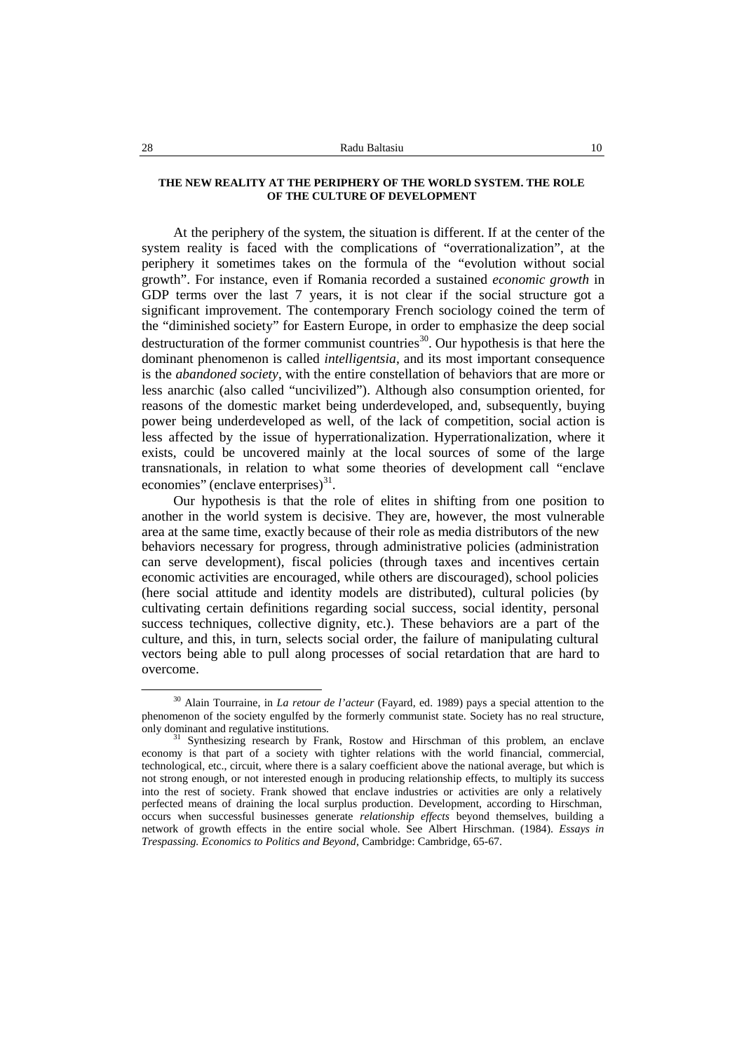#### **THE NEW REALITY AT THE PERIPHERY OF THE WORLD SYSTEM. THE ROLE OF THE CULTURE OF DEVELOPMENT**

At the periphery of the system, the situation is different. If at the center of the system reality is faced with the complications of "overrationalization", at the periphery it sometimes takes on the formula of the "evolution without social growth". For instance, even if Romania recorded a sustained *economic growth* in GDP terms over the last 7 years, it is not clear if the social structure got a significant improvement. The contemporary French sociology coined the term of the "diminished society" for Eastern Europe, in order to emphasize the deep social destructuration of the former communist countries<sup>30</sup>. Our hypothesis is that here the dominant phenomenon is called *intelligentsia*, and its most important consequence is the *abandoned society*, with the entire constellation of behaviors that are more or less anarchic (also called "uncivilized"). Although also consumption oriented, for reasons of the domestic market being underdeveloped, and, subsequently, buying power being underdeveloped as well, of the lack of competition, social action is less affected by the issue of hyperrationalization. Hyperrationalization, where it exists, could be uncovered mainly at the local sources of some of the large transnationals, in relation to what some theories of development call "enclave economies" (enclave enterprises)<sup>31</sup>.

Our hypothesis is that the role of elites in shifting from one position to another in the world system is decisive. They are, however, the most vulnerable area at the same time, exactly because of their role as media distributors of the new behaviors necessary for progress, through administrative policies (administration can serve development), fiscal policies (through taxes and incentives certain economic activities are encouraged, while others are discouraged), school policies (here social attitude and identity models are distributed), cultural policies (by cultivating certain definitions regarding social success, social identity, personal success techniques, collective dignity, etc.). These behaviors are a part of the culture, and this, in turn, selects social order, the failure of manipulating cultural vectors being able to pull along processes of social retardation that are hard to overcome.

<sup>30</sup> Alain Tourraine, in *La retour de l'acteur* (Fayard, ed. 1989) pays a special attention to the phenomenon of the society engulfed by the formerly communist state. Society has no real structure, only dominant and regulative institutions.

<sup>&</sup>lt;sup>31</sup> Synthesizing research by Frank, Rostow and Hirschman of this problem, an enclave economy is that part of a society with tighter relations with the world financial, commercial, technological, etc., circuit, where there is a salary coefficient above the national average, but which is not strong enough, or not interested enough in producing relationship effects, to multiply its success into the rest of society. Frank showed that enclave industries or activities are only a relatively perfected means of draining the local surplus production. Development, according to Hirschman, occurs when successful businesses generate *relationship effects* beyond themselves, building a network of growth effects in the entire social whole. See Albert Hirschman. (1984). *Essays in Trespassing. Economics to Politics and Beyond*, Cambridge: Cambridge, 65-67.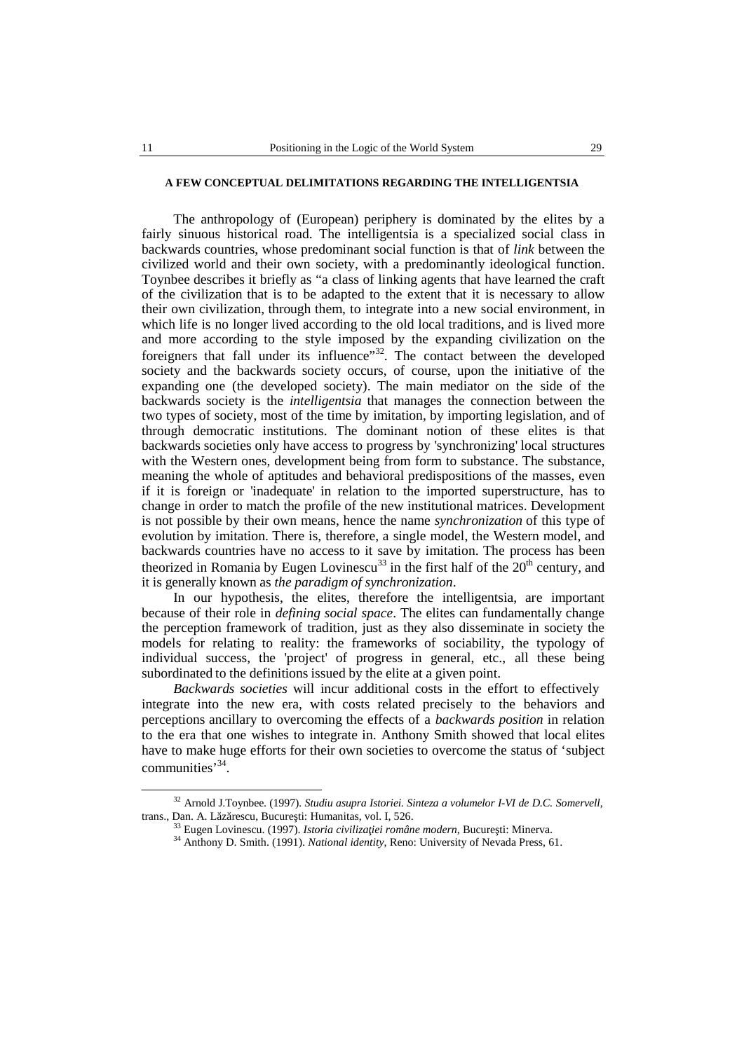## **A FEW CONCEPTUAL DELIMITATIONS REGARDING THE INTELLIGENTSIA**

The anthropology of (European) periphery is dominated by the elites by a fairly sinuous historical road. The intelligentsia is a specialized social class in backwards countries, whose predominant social function is that of *link* between the civilized world and their own society, with a predominantly ideological function. Toynbee describes itbriefly as "a class of linking agents that have learned the craft of the civilization that is to be adapted to the extent that it is necessary to allow their own civilization, through them, to integrate into a new social environment, in which life is no longer lived according to the old local traditions, and is lived more and more according to the style imposed by the expanding civilization on the foreigners that fall under its influence<sup>33</sup>. The contact between the developed society and the backwards society occurs, of course, upon the initiative of the expanding one (the developed society). The main mediator on the side of the backwards society is the *intelligentsia* that manages the connection between the two types of society, most of the time by imitation, by importing legislation, and of through democratic institutions. The dominant notion of these elites is that backwards societies only have access to progress by 'synchronizing' local structures with the Western ones, development being from form to substance. The substance, meaning the whole of aptitudes and behavioral predispositions of the masses, even if it is foreign or'inadequate' in relation to the imported superstructure, has to change in order to match the profile of the new institutional matrices. Development is not possible by their own means, hence the name *synchronization* of this type of evolution by imitation. There is, therefore, a single model, the Western model, and backwards countries have no access to it save by imitation. The process has been theorized in Romania by Eugen Lovinescu<sup>33</sup> in the first half of the 20<sup>th</sup> century, and it is generally known as *the paradigm of synchronization*.

In our hypothesis, the elites, therefore the intelligentsia, are important because of their role in *defining social space*. The elites can fundamentally change the perception framework of tradition, just as they also disseminate in society the models for relating to reality: the frameworks of sociability, the typology of individual success, the 'project' of progress in general, etc., all these being subordinated to the definitions issued by the elite at a given point.

*Backwards societies* will incur additional costs in the effort to effectively integrate into the new era, with costs related precisely to the behaviors and perceptions ancillary to overcoming the effects of a *backwards position* in relation to the era that one wishes to integrate in. Anthony Smith showed that local elites have to make huge efforts for their own societies to overcome the status of 'subject communities' 34 .

<sup>32</sup> Arnold J.Toynbee. (1997)*. Studiu asupra Istoriei. Sinteza a volumelor I-VI de D.C. Somervell*, trans., Dan. A. L z rescu, Bucure ti: Humanitas, vol. I, 526.

<sup>&</sup>lt;sup>33</sup> Eugen Lovinescu. (1997). *Istoria civiliza iei române modern*, Bucure ti: Minerva.<br><sup>34</sup> Anthony D. Smith. (1991). *National identity*, Reno: University of Nevada Press, 61.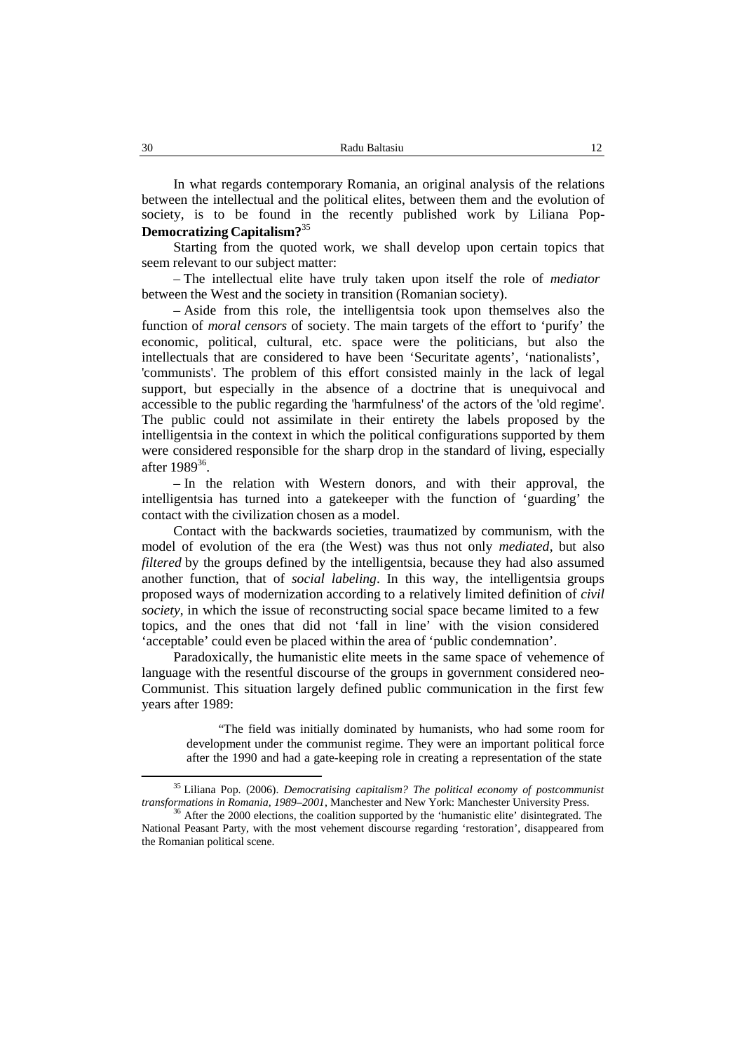In what regards contemporary Romania, an original analysis of the relations between the intellectual and the political elites, between them and the evolution of society, is to be found in the recently published work by Liliana Pop- **Democratizing Capitalism?** 35

Starting from the quoted work, we shall develop upon certain topics that seem relevant to our subject matter:

– The intellectual elite have truly taken upon itself the role of *mediator* between the West and the society in transition (Romanian society).

– Aside from this role, the intelligentsia took upon themselves also the function of *moral censors* of society. The main targets of the effort to 'purify' the economic, political, cultural, etc. space were the politicians, but also the intellectuals that are considered to have been 'Securitate agents', 'nationalists', 'communists'. The problem of this effort consisted mainly in the lack of legal support, but especially in the absence of a doctrine that is unequivocal and accessible to the public regarding the 'harmfulness' of the actors of the 'old regime'. The public could not assimilate in their entirety the labels proposed by the intelligentsia in the context in which the political configurations supported by them were considered responsible for the sharp drop in the standard of living, especially after  $1989^{36}$ .

– In the relation with Western donors, and with their approval, the intelligentsia has turned into a gatekeeper with the function of 'guarding' the contact with the civilization chosen as a model.

Contact with the backwards societies, traumatized by communism, with the model of evolution of the era (the West) was thus not only *mediated*, but also *filtered* by the groups defined by the intelligentsia, because they had also assumed another function, that of *social labeling*. In this way, the intelligentsia groups proposed ways of modernization according to a relatively limited definition of *civil society*, in which the issue of reconstructing social space became limited to a few topics, and the ones that did not 'fall in line' with the vision considered 'acceptable' could even be placed within the area of 'public condemnation'.

Paradoxically, the humanistic elite meets in the same space of vehemence of language with the resentful discourse of the groups in government considered neo- Communist. This situation largely defined public communication in the first few years after 1989:

"The field was initially dominated by humanists, who had some room for development under the communist regime. They were an important political force after the 1990 and had a gate-keeping role in creating a representation of the state

<sup>&</sup>lt;sup>35</sup> Liliana Pop. (2006). *Democratising capitalism? The political economy of postcommunist transformations in Romania. 1989–2001*. Manchester and New York: Manchester University Press.

<sup>&</sup>lt;sup>36</sup> After the 2000 elections, the coalition supported by the 'humanistic elite' disintegrated. The National Peasant Party, with the most vehement discourse regarding 'restoration', disappeared from the Romanian political scene.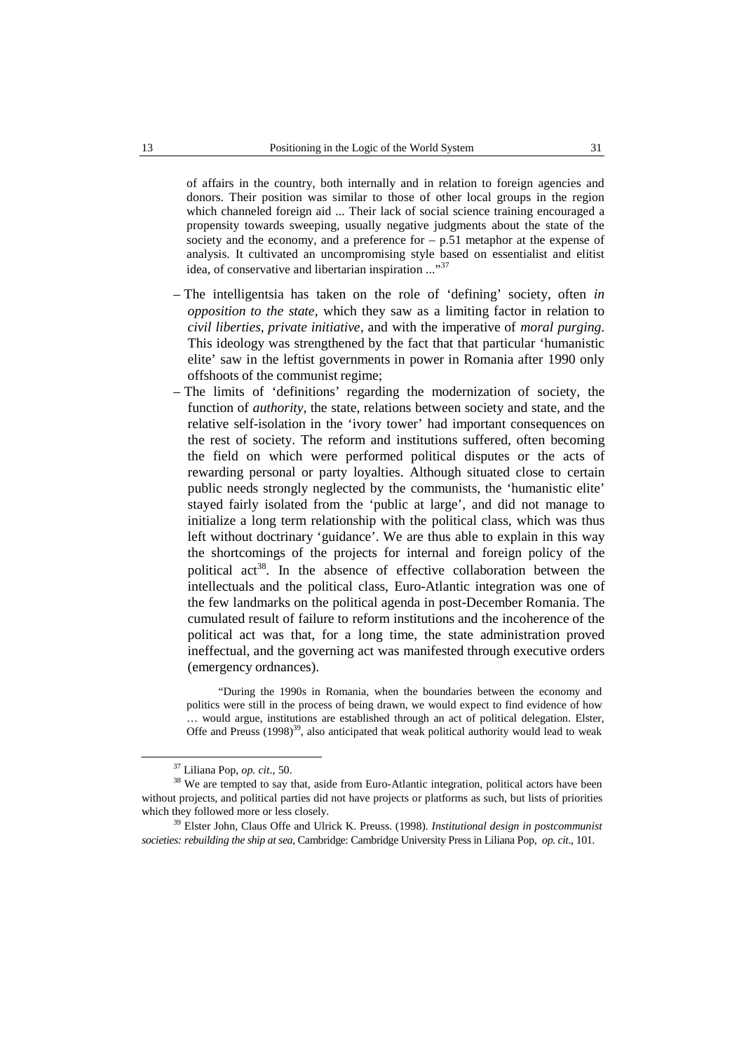of affairs in the country, both internally and in relation to foreign agencies and donors. Their position was similar to those of other local groups in the region which channeled foreign aid ... Their lack of social science training encouraged a propensity towards sweeping, usually negative judgments about the state of the society and the economy, and a preference for  $- p.51$  metaphor at the expense of analysis. It cultivated an uncompromising style based on essentialist and elitist idea, of conservative and libertarian inspiration ..."<sup>37</sup>

- The intelligentsia has taken on the role of 'defining' society, often *in opposition to the state*, which they saw as alimiting factor in relation to *civil liberties, private initiative*, and with the imperative of *moral purging*. This ideology was strengthened by the fact that that particular 'humanistic elite' saw in the leftist governments in power in Romania after 1990 only offshoots of the communist regime;
- The limits of 'definitions' regarding the modernization of society, the function of *authority*, the state, relations between society and state, and the relative self-isolation in the 'ivory tower' had important consequences on the rest of society. The reform and institutions suffered, often becoming the field on which were performed political disputes or the acts of rewarding personal or party loyalties. Although situated close to certain public needs strongly neglected by the communists, the 'humanistic elite' stayed fairly isolated from the 'public at large', and did not manage to initialize a long term relationship with the political class, which was thus left without doctrinary 'guidance'. We are thus able to explain in this way the shortcomings of the projects for internal and foreign policy of the political act<sup>38</sup>. In the absence of effective collaboration between the intellectuals and the political class, Euro-Atlantic integration was one of the few landmarks on the political agenda in post-December Romania. The cumulated result of failure to reform institutions and the incoherence of the political act was that, for a long time, the state administration proved ineffectual, and the governing act was manifested through executive orders (emergency ordnances).

"During the 1990s in Romania, when the boundaries between the economy and politics were still in the process of being drawn, we would expect to find evidence of how … would argue, institutions are established through an act of political delegation. Elster, Offe and Preuss  $(1998)^{39}$ , also anticipated that weak political authority would lead to weak

<sup>37</sup> Liliana Pop, *op. cit*., 50.

<sup>&</sup>lt;sup>38</sup> We are tempted to say that, aside from Euro-Atlantic integration, political actors have been without projects, and political parties did not have projects or platforms as such, but lists of priorities which they followed more or less closely.

<sup>39</sup> Elster John, Claus Offe and Ulrick K. Preuss. (1998). *Institutional design in postcommunist societies: rebuilding the ship at sea,* Cambridge: Cambridge University Press in Liliana Pop, *op. cit*., 101.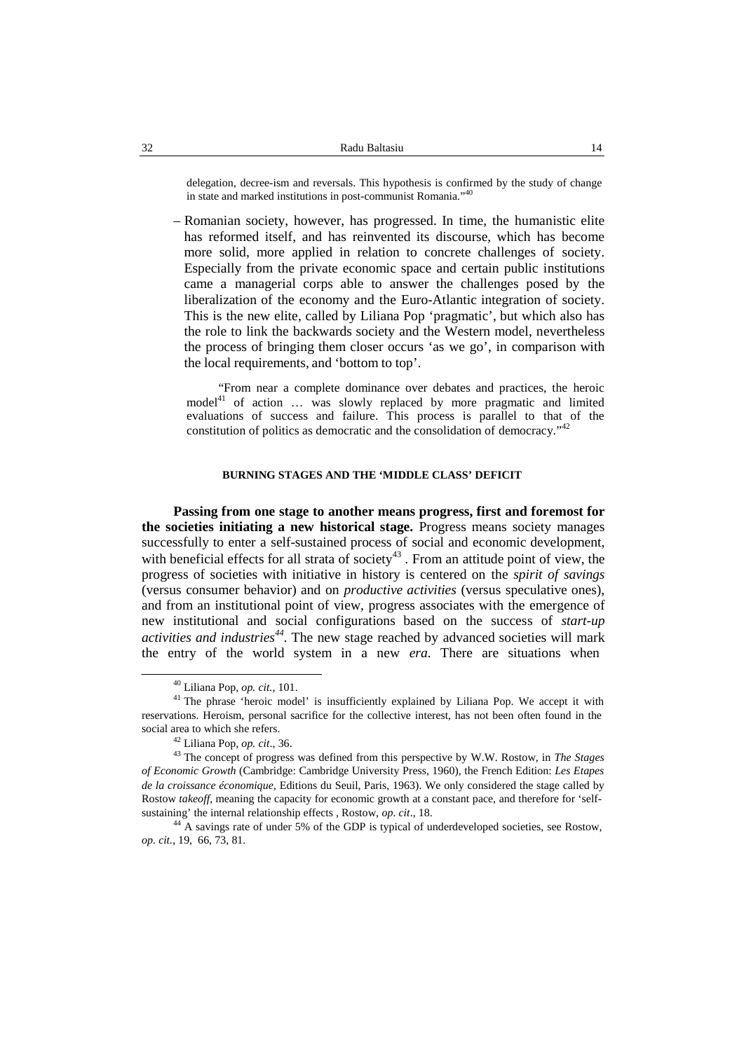delegation, decree-ism and reversals. This hypothesis is confirmed by the study of change in state and marked institutions in post-communist Romania." 40

– Romanian society, however, has progressed. In time, the humanistic elite has reformed itself, and has reinvented its discourse, which has become more solid, more applied in relation to concrete challenges of society. Especially from the private economic space and certain public institutions came a managerial corps able to answer the challenges posed by the liberalization of the economy and the Euro-Atlantic integration of society. This is the new elite, called by Liliana Pop 'pragmatic', but which also has the role to link the backwards society and the Western model, nevertheless the process of bringing them closer occurs 'as we go', in comparison with the local requirements, and 'bottom to top'.

"From near a complete dominance over debates and practices, the heroic model<sup>41</sup> of action ... was slowly replaced by more pragmatic and limited evaluations of success and failure. This process is parallel to that of the constitution of politics as democratic and the consolidation of democracy." 42

## **BURNING STAGES AND THE 'MIDDLE CLASS' DEFICIT**

**Passing from one stage to another means progress, first and foremost for the societies initiating a new historical stage.** Progress means society manages successfully to enter a self-sustained process of social and economic development, with beneficial effects for all strata of society<sup>43</sup>. From an attitude point of view, the progress of societies with initiative in history is centered on the *spirit of savings* (versus consumer behavior) and on *productive activities* (versus speculative ones), and from an institutional point of view, progress associates with the emergence of new institutional and social configurations based on the success of *start-up activities and industries <sup>44</sup>*. The new stage reached by advanced societies will mark the entry of the world system in a new *era.* There are situations when

<sup>40</sup> Liliana Pop, *op. cit.*, 101.

<sup>&</sup>lt;sup>41</sup> The phrase 'heroic model' is insufficiently explained by Liliana Pop. We accept it with reservations. Heroism, personal sacrifice for the collective interest, has not been often found in the social area to which she refers.

<sup>42</sup> Liliana Pop, *op. cit*., 36.

<sup>43</sup> The concept of progress was defined from this perspective by W.W. Rostow, in *The Stages of Economic Growth* (Cambridge: Cambridge University Press, 1960), the French Edition: *Les Etapes de la croissance économique*, Editions du Seuil, Paris, 1963). We only considered the stage called by Rostow *takeoff*, meaning the capacity for economic growth at a constant pace, and therefore for 'self sustaining' the internal relationship effects , Rostow, *op. cit*., 18.

<sup>&</sup>lt;sup>44</sup> A savings rate of under 5% of the GDP is typical of underdeveloped societies, see Rostow, *op. cit.*, 19, 66, 73, 81.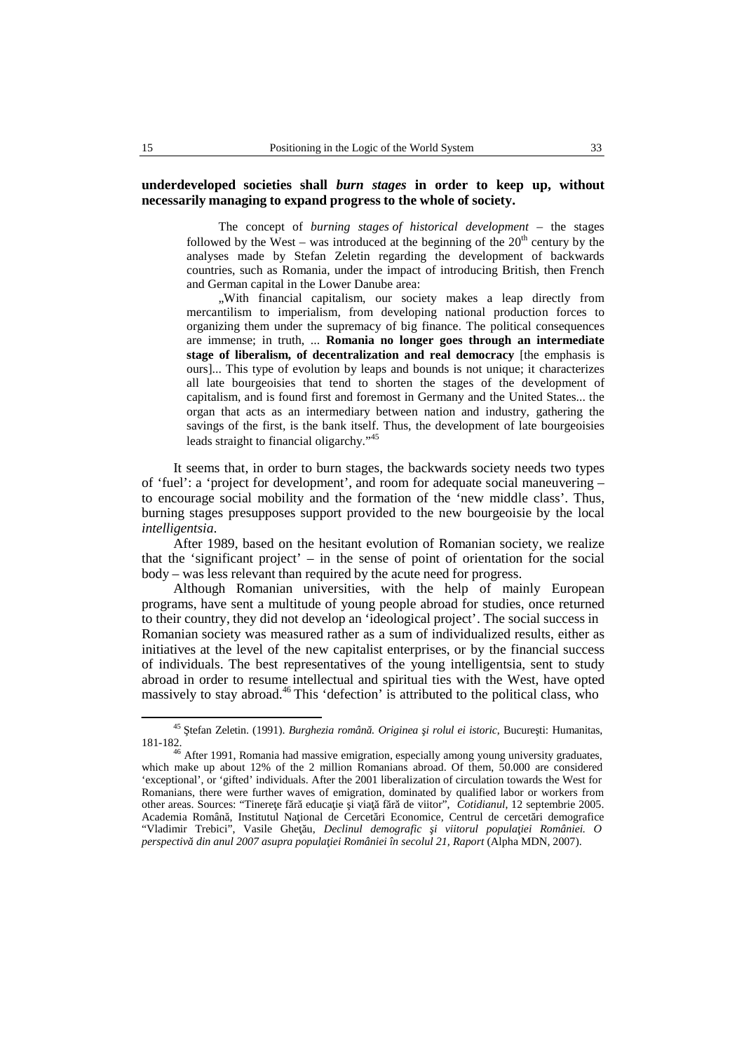# **underdeveloped societies shall** *burn stages* **in order to keep up, without necessarily managing to expand progress to the whole of society.**

The concept of *burning stages of historical development –* the stages followed by the West – was introduced at the beginning of the  $20<sup>th</sup>$  century by the analyses made by Stefan Zeletin regarding the development of backwards countries, such as Romania, under the impact of introducing British, then French and German capital in the Lower Danube area:

..With financial capitalism, our society makes a leap directly from mercantilism to imperialism, from developing national production forces to organizing them under the supremacy of big finance. The political consequences are immense; in truth, ... **Romania no longer goes through an intermediate stage of liberalism, of decentralization and real democracy** [the emphasis is ours]... This type of evolution by leaps and bounds is not unique; it characterizes all late bourgeoisies that tend to shorten the stages of the development of capitalism, and is found first and foremost in Germany and the United States... the organ that acts as an intermediary between nation and industry, gathering the savings of the first, is the bank itself. Thus, the development of late bourgeoisies leads straight to financial oligarchy."<sup>45</sup>

It seems that, in order to burn stages, the backwards society needs two types of 'fuel': a 'project for development', and room for adequate social maneuvering – to encourage social mobility and the formation of the 'new middle class'. Thus, burning stages presupposes support provided to the new bourgeoisie by the local *intelligentsia*.

After 1989, based on the hesitant evolution of Romanian society, we realize that the 'significant project' – in the sense of point of orientation for the social body – was less relevant than required by the acute need for progress.

Although Romanian universities, with the help of mainly European programs, have sent a multitude of young people abroad for studies, once returned to their country, they did not develop an 'ideological project'. The social success in Romanian society was measured rather as a sum of individualized results, either as initiatives at the level of the new capitalist enterprises, or by the financial success of individuals. The best representatives of the young intelligentsia, sent to study abroad in order to resume intellectual and spiritual ties with the West, have opted massively to stay abroad.<sup>46</sup> This 'defection' is attributed to the political class, who

<sup>&</sup>lt;sup>45</sup> tefan Zeletin. (1991). *Burghezia român . Originea i rolul ei istoric*, Bucure ti: Humanitas, 181-182.

After 1991, Romania had massive emigration, especially among young university graduates, which make up about 12% of the 2 million Romanians abroad. Of them, 50.000 are considered 'exceptional', or 'gifted' individuals. After the 2001 liberalization of circulation towards the West for Romanians, there were further waves of emigration, dominated by qualified labor or workers from other areas. Sources: "Tinere e f r educa ie i via f r de viitor", *Cotidianul*, 12 septembrie 2005. Academia Român, Institutul Na ional de Cercet ri Economice, Centrul de cercet ri demografice "Vladimir Trebici", Vasile Ghe u, Declinul demografic i viitorul popula iei României. O *perspectivă din anul 2007 asupra populaţiei României în secolul 21, Raport* (Alpha MDN, 2007).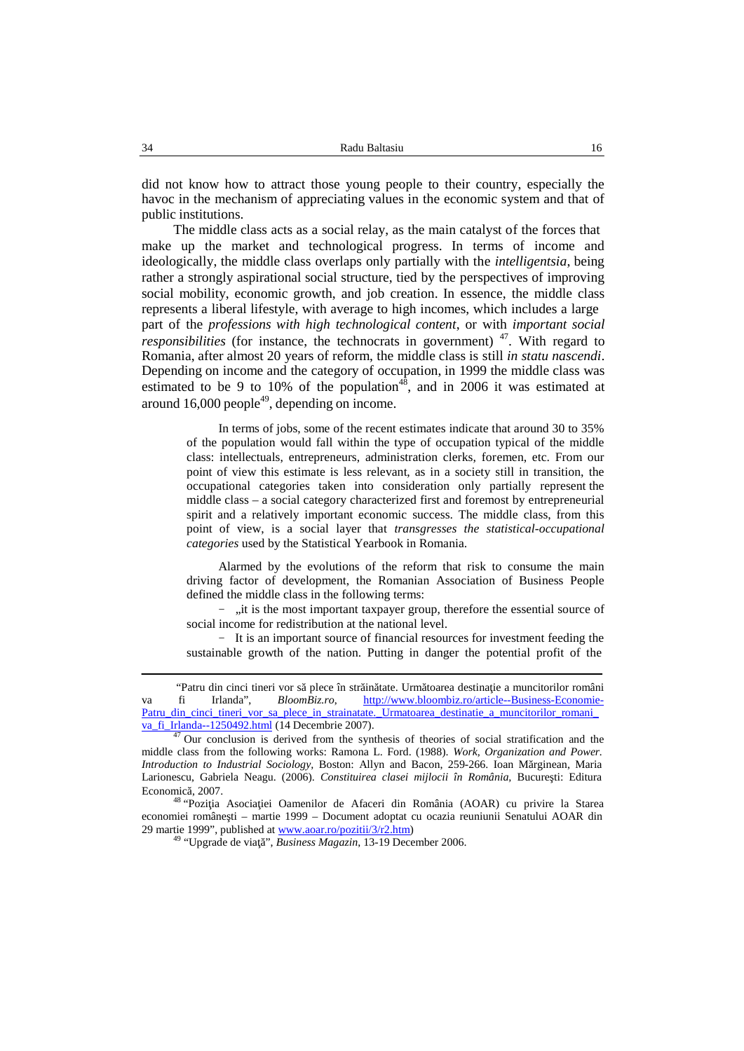did not know how to attract those young people to their country, especially the havoc in the mechanism of appreciating values in the economic system and that of public institutions.

The middle class acts as a social relay, as the main catalyst of the forces that make up the market and technological progress. In terms of income and ideologically, the middle class overlaps only partially with the *intelligentsia*, being rather a strongly aspirational social structure, tied by the perspectives of improving social mobility, economic growth, and job creation. In essence, the middle class represents a liberal lifestyle, with average to high incomes, which includes a large part of the *professions with high technological content*, or with *important social responsibilities* (for instance, the technocrats in government) <sup>47</sup>. With regard to Romania, after almost 20 years of reform, the middle class is still *in statu nascendi*. Depending on income and the category of occupation, in 1999 the middle class was estimated to be 9 to 10% of the population<sup>48</sup>, and in 2006 it was estimated at around 16,000 people 49 , depending on income.

In terms of jobs, some of the recent estimates indicate that around 30 to 35% of the population would fall within the type of occupation typical of the middle class: intellectuals, entrepreneurs, administration clerks, foremen, etc. From our point of view this estimate is less relevant, as in a society still in transition, the occupational categories taken into consideration only partially represent the middle class – a social category characterized first and foremost by entrepreneurial spirit and a relatively important economic success. The middle class, from this point of view, is a social layer that *transgresses the statistical-occupational categories* used by the Statistical Yearbook in Romania.

Alarmed by the evolutions of the reform that risk to consume the main driving factor of development, the Romanian Association of Business People defined the middle class in the following terms:

− "it is the most important taxpayer group, therefore the essential source of social income for redistribution at the national level.

− It is an important source of financial resources for investment feeding the sustainable growth of the nation. Putting in danger the potential profit of the

<sup>&</sup>quot;Patru din cinci tineri vor să plece în str in tate. Urm toarea destina ie a muncitorilor români va fi Irlanda", *BloomBiz.ro*, http://www.bloombiz.ro/article--Business-Economie- Patru\_din\_cinci\_tineri\_vor\_sa\_plece\_in\_strainatate.\_Urmatoarea\_destinatie\_a\_muncitorilor\_romani\_ va\_fi\_Irlanda--1250492.html (14 Decembrie 2007).

 $47$  Our conclusion is derived from the synthesis of theories of social stratification and the middle class from the following works: Ramona L. Ford. (1988). *Work, Organization and Power. Introduction to Industrial Sociology, Boston: Allyn and Bacon, 259-266. Ioan M rginean, Maria* Larionescu, Gabriela Neagu. (2006). *Constituirea clasei mijlocii în România*, Bucure ti: Editura

Economic , 2007.<br><sup>48</sup> "Pozi ia Asocia iei Oamenilor de Afaceri din România (AOAR) cu privire la Starea economiei române ti – martie 1999 – Document adoptat cu ocazia reuniunii Senatului AOAR din 29 martie 1999", published at www.aoar.ro/pozitii/3/r2.htm)<br><sup>49</sup> "Upgrade de via ", *Business Magazin*, 13-19 December 2006.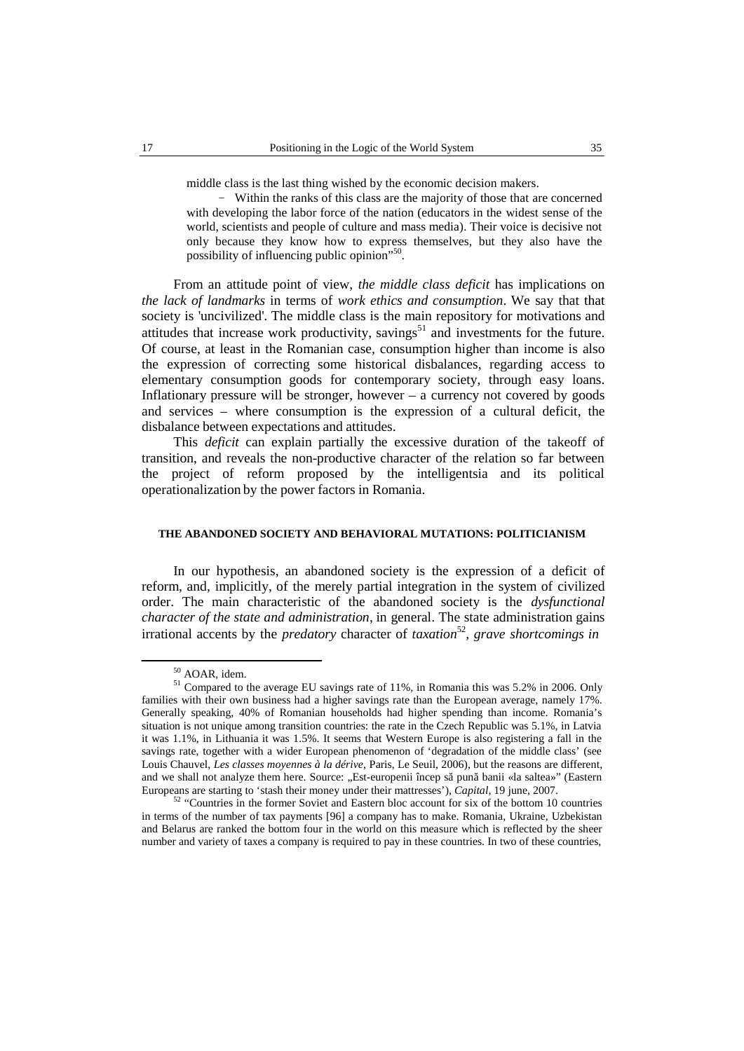middle class is the last thing wished by the economic decision makers.

− Within the ranks of this class are the majority of those that are concerned with developing the labor force of the nation (educators in the widest sense of the world, scientists and people of culture and mass media). Their voice is decisive not only because they know how to express themselves, but they also have the possibility of influencing public opinion"<sup>50</sup>.

From an attitude point of view, *the middle class deficit* has implications on *the lack of landmarks* in terms of *work ethics and consumption*. We say that that society is 'uncivilized'. The middle class is the main repository for motivations and attitudes that increase work productivity, savings<sup>51</sup> and investments for the future. Of course, at least in the Romanian case, consumption higher than income is also the expression of correcting some historical disbalances, regarding access to elementary consumption goods for contemporary society, through easy loans. Inflationary pressure will be stronger, however  $-$  a currency not covered by goods and services – where consumption is the expression of a cultural deficit, the disbalance between expectations and attitudes.

This *deficit* can explain partially the excessive duration of the takeoff of transition, and reveals the non-productive character of the relation so far between the project of reform proposed by the intelligentsia and its political operationalization by the power factors in Romania.

## **THE ABANDONED SOCIETY AND BEHAVIORAL MUTATIONS: POLITICIANISM**

In our hypothesis, an abandoned society is the expression of a deficit of reform, and, implicitly, of the merely partial integration in the system of civilized order. The main characteristic of the abandoned society is the *dysfunctional character of the state and administration*, in general. The state administration gains irrational accents by the *predatory* character of *taxation*<sup>52</sup>, *grave shortcomings in* 

 $^{50}$  AOAR, idem.<br><sup>51</sup> Compared to the average EU savings rate of 11%, in Romania this was 5.2% in 2006. Only families with their own business had a higher savings rate than the European average, namely 17%. Generally speaking, 40% of Romanian households had higher spending than income. Romania's situation is not unique among transition countries: the rate in the Czech Republic was 5.1%, in Latvia it was 1.1%, in Lithuania it was 1.5%. It seems that Western Europe is also registering a fall in the savings rate, together with a wider European phenomenon of 'degradation of the middle class' (see Louis Chauvel, *Les classes moyennes à la dérive*, Paris, Le Seuil, 2006), but the reasons are different, and we shall not analyze them here. Source: "Est-europenii încep s pun banii «la saltea»" (Eastern Europeans are starting to 'stash their money under their mattresses'), *Capital*, 19 june, 2007. <sup>52</sup> "Countries in the former Soviet and Eastern bloc account for six of the bottom <sup>10</sup> countries

in terms of the number of tax payments [96] a company has to make. Romania, Ukraine, Uzbekistan and Belarus are ranked the bottom four in the world on this measure which is reflected by the sheer number and variety of taxes a company is required to pay in these countries. In two of these countries,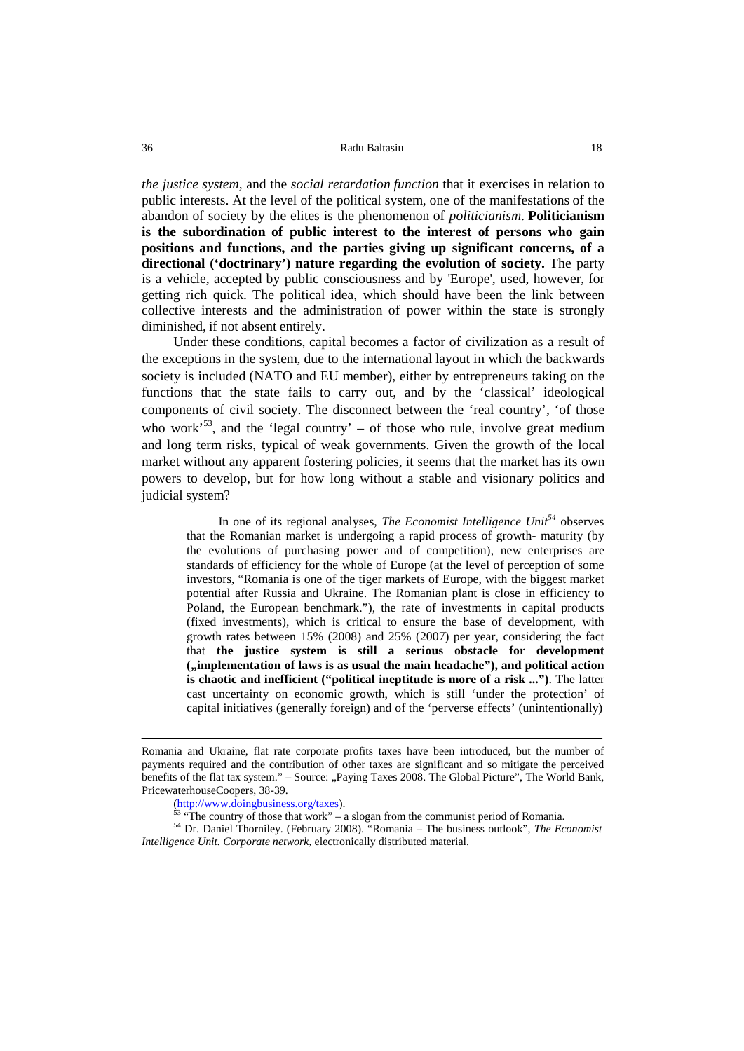*the justice system,* and the *social retardation function* that it exercises in relation to public interests. At the level of the political system, one of the manifestations of the abandon of society by the elites is the phenomenon of *politicianism*. **Politicianism is the subordination of public interest to the interest of persons who gain positions and functions, and the parties giving up significant concerns, of a directional ('doctrinary') nature regarding the evolution of society.** The party is a vehicle, accepted by public consciousness and by 'Europe', used, however, for getting rich quick. The political idea, which should have been the link between collective interests and the administration of power within the state is strongly diminished, if not absent entirely.

Under these conditions, capital becomes a factor of civilization as a result of the exceptions in the system, due to the international layout in which the backwards society is included (NATO and EU member), either by entrepreneurs taking on the functions that the state fails to carry out, and by the 'classical' ideological components of civil society. The disconnect between the 'real country', 'of those who work<sup>553</sup>, and the 'legal country' – of those who rule, involve great medium and long term risks, typical of weak governments. Given the growth of the local market without any apparent fostering policies, it seems that the market has its own powers to develop, but for how long without a stable and visionary politics and judicial system?

In one of its regional analyses, *The Economist Intelligence Unit<sup>54</sup>* observes that the Romanian market is undergoing a rapid process of growth- maturity (by the evolutions of purchasing power and of competition), new enterprises are standards of efficiency for the whole of Europe (at the level of perception of some investors, "Romania is one of the tiger markets of Europe, with the biggest market potential after Russia and Ukraine. The Romanian plant is close in efficiency to Poland, the European benchmark."), the rate of investments in capital products (fixed investments), which is critical to ensure the base of development, with growth rates between 15% (2008) and 25% (2007) per year, considering the fact that **the justice system is stilla serious obstacle for development ("implementation of laws is as usual the main headache"), and political action is chaotic and inefficient ("political ineptitude is more of a risk ...")**. The latter cast uncertainty on economic growth, which is still 'under the protection' of capital initiatives (generally foreign) and of the 'perverse effects' (unintentionally)

Romania and Ukraine, flat rate corporate profits taxes have been introduced, but the number of payments required and the contribution of other taxes are significant and so mitigate the perceived benefits of the flat tax system." – Source: "Paying Taxes 2008. The Global Picture", The World Bank, PricewaterhouseCoopers, 38-39.

<sup>(</sup>http://www.doingbusiness.org/taxes).<br>
<sup>53</sup> "The country of those that work" – a slogan from the communist period of Romania.<br>
<sup>54</sup> Dr. Daniel Thorniley. (February 2008). "Romania – The business outlook", *The Economist Intelligence Unit. Corporate network*, electronically distributed material.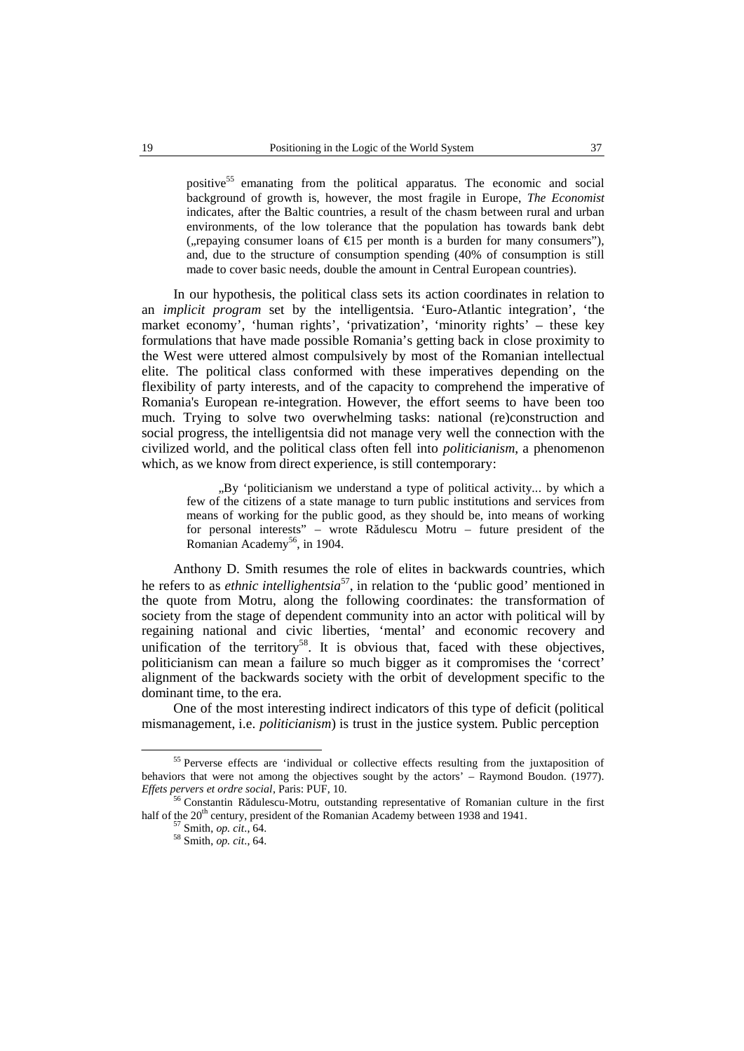positive <sup>55</sup> emanating from the political apparatus. The economic and social background of growth is, however, the most fragile in Europe, *The Economist* indicates, after the Baltic countries, a result of the chasm between rural and urban environments, of the low tolerance that the population has towards bank debt (, repaying consumer loans of  $E$ 15 per month is a burden for many consumers"), and, due to the structure of consumption spending (40% of consumption is still made to cover basic needs, double the amount in Central European countries).

In our hypothesis, the political class sets its action coordinates in relation to an *implicit program* set by the intelligentsia. 'Euro-Atlantic integration', 'the market economy', 'human rights', 'privatization', 'minority rights' – these key formulations that have made possible Romania's getting back in close proximity to the West were uttered almost compulsively by most of the Romanian intellectual elite. The political class conformed with these imperatives depending on the flexibility of party interests, and of the capacity to comprehend the imperative of Romania's European re-integration. However, the effort seems to have been too much. Trying to solve two overwhelming tasks: national (re)construction and social progress, the intelligentsia did not manage very well the connection with the civilized world, and the political class often fellinto *politicianism*, a phenomenon which, as we know from direct experience, is still contemporary:

"By 'politicianism we understand a type of political activity... by which a few of the citizens of a state manage to turn public institutions and services from means of working for the public good, as they should be, into means of working for personal interests" – wrote R dulescu Motru – future president of the Romanian Academy 56 , in 1904.

Anthony D. Smith resumes the role of elites in backwards countries, which he refers to as *ethnic intellighentsia* 57 , in relation to the 'public good' mentioned in the quote from Motru, along the following coordinates: the transformation of society from the stage of dependent community into an actor with political will by regaining national and civic liberties, 'mental' and economic recovery and unification of the territory<sup>58</sup>. It is obvious that, faced with these objectives, politicianism can mean a failure so much bigger as it compromises the 'correct' alignment of the backwards society with the orbit of development specific to the dominant time, to the era.

One of the most interesting indirect indicators of this type of deficit (political mismanagement, i.e. *politicianism*) is trust in the justice system. Public perception

<sup>&</sup>lt;sup>55</sup> Perverse effects are 'individual or collective effects resulting from the juxtaposition of behaviors that were not among the objectives sought by the actors' – Raymond Boudon. (1977). *Effets pervers et ordre social*, Paris: PUF, 10.

<sup>&</sup>lt;sup>56</sup> Constantin R dulescu-Motru, outstanding representative of Romanian culture in the first half of the 20<sup>th</sup> century, president of the Romanian Academy between 1938 and 1941.<br><sup>57</sup> Smith, *op. cit.*, 64.<br><sup>58</sup> Smith, *op. cit.*, 64.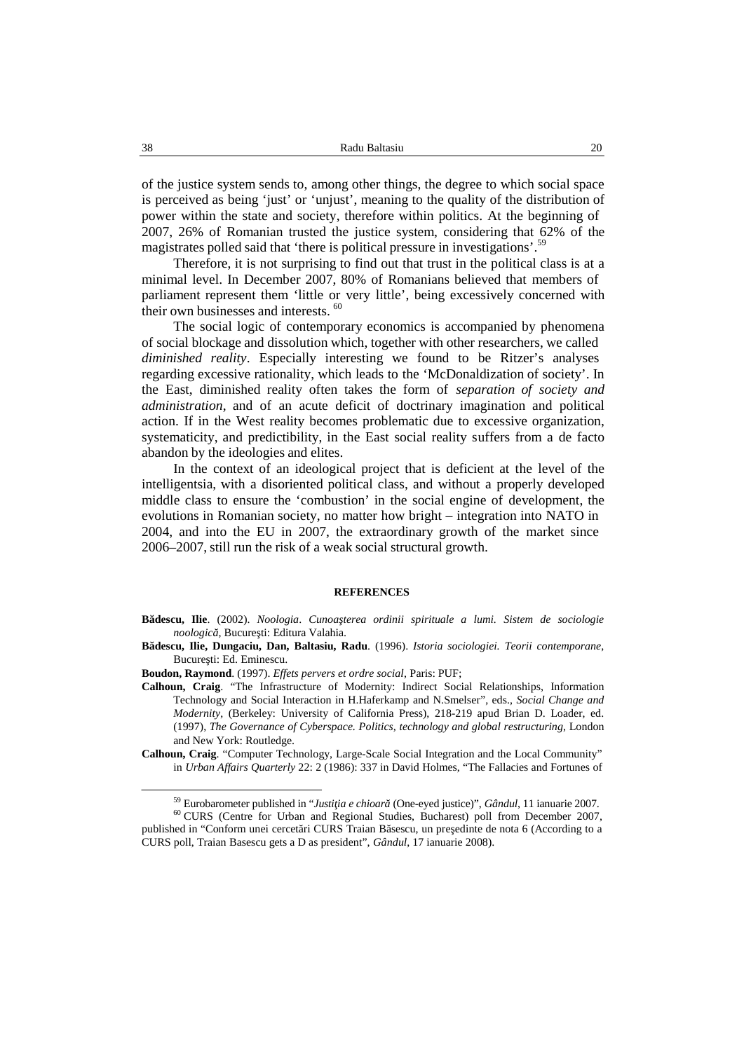of the justice system sends to, among other things, the degree to which social space is perceived as being 'just' or 'unjust', meaning to the quality of the distribution of power within the state and society, therefore within politics. At the beginning of 2007, 26% of Romanian trusted the justice system, considering that 62% of the magistrates polled said that 'there is political pressure in investigations'.<sup>59</sup>

Therefore, it is not surprising to find out that trust in the political class is at a minimal level. In December 2007, 80% of Romanians believed that members of parliament represent them 'little or very little', being excessively concerned with their own businesses and interests.<sup>60</sup>

The social logic of contemporary economics is accompanied by phenomena of social blockage and dissolution which, together with other researchers, we called *diminished reality*. Especially interesting we found to be Ritzer's analyses regarding excessive rationality, which leads to the 'McDonaldization of society'. In the East, diminished reality often takes the form of *separation of society and administration*, and of an acute deficit of doctrinary imagination and political action. If in the West reality becomes problematic due to excessive organization, systematicity, and predictibility, in the East social reality suffers from a de facto abandon by the ideologies and elites.

In the context of an ideological project that is deficient at the level of the intelligentsia, with a disoriented political class, and without a properly developed middle class to ensure the 'combustion' in the social engine of development, the evolutions in Romanian society, no matter how bright – integration into NATO in 2004, and into the EU in 2007, the extraordinary growth of the market since 2006–2007, still run the risk of a weak social structural growth.

#### **REFERENCES**

- **Bădescu, Ilie**. (2002). *Noologia*. *Cunoaşterea ordinii spirituale a lumi. Sistem de sociologie noologic*, Bucure ti: Editura Valahia.
- **Bădescu, Ilie, Dungaciu, Dan, Baltasiu, Radu**. (1996). *Istoria sociologiei. Teorii contemporane*, Bucure ti: Ed. Eminescu.
- **Boudon, Raymond**. (1997). *Effets pervers et ordre social*, Paris: PUF;
- **Calhoun, Craig**. "The Infrastructure of Modernity: Indirect Social Relationships, Information Technology and Social Interaction in H.Haferkamp and N.Smelser", eds., *Social Change and Modernity*, (Berkeley: University of California Press), 218-219 apud Brian D. Loader, ed. (1997), *The Governance of Cyberspace. Politics, technology and global restructuring*, London and New York: Routledge.
- **Calhoun, Craig**. "Computer Technology, Large-Scale Social Integration and the Local Community" in *Urban Affairs Quarterly* 22: 2 (1986): 337 in David Holmes, "The Fallacies and Fortunes of

<sup>&</sup>lt;sup>59</sup> Eurobarometer published in "*Justi ia e chioar* (One-eyed justice)", *Gândul*, 11 ianuarie 2007. <sup>60</sup> CURS (Centre for Urban and Regional Studies, Bucharest) poll from December 2007, published in "Conform unei cercet ri CURS Traian B sescu, un pre edinte de nota 6 (According to a CURS poll, Traian Basescu gets a D as president", *Gândul*, 17 ianuarie 2008).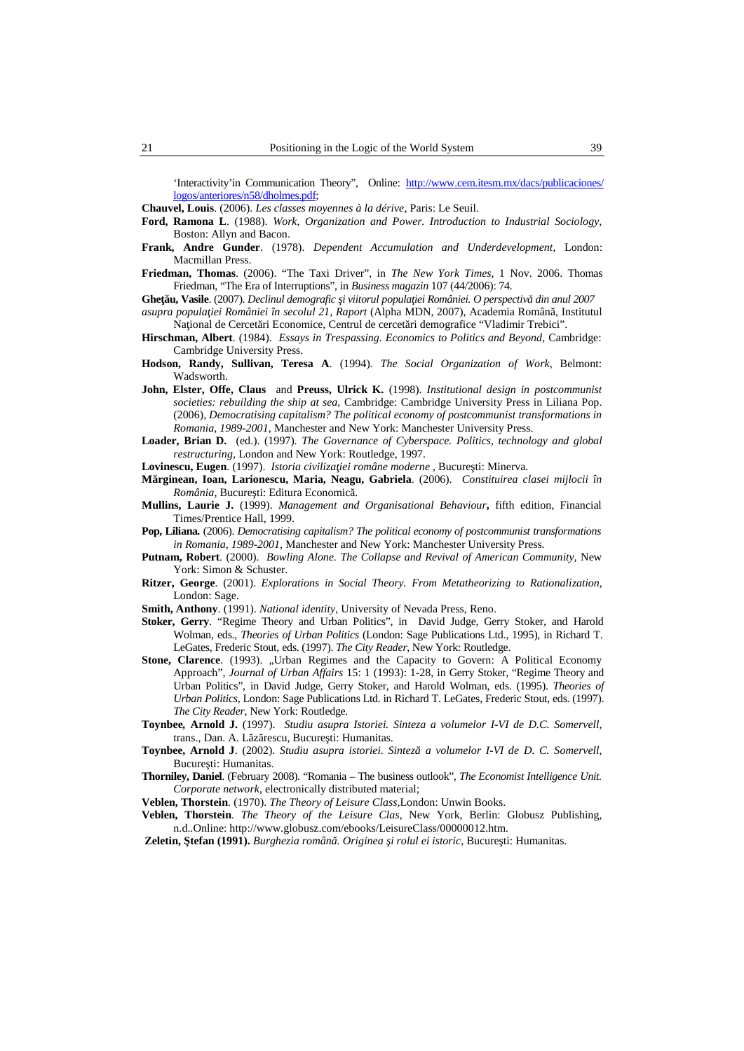'Interactivity'in Communication Theory"*,* Online: http://www.cem.itesm.mx/dacs/publicaciones/ logos/anteriores/n58/dholmes.pdf;

**Chauvel, Louis**. (2006). *Les classes moyennes à la dérive*, Paris: Le Seuil.

- **Ford, Ramona L**. (1988). *Work, Organization and Power. Introduction to Industrial Sociology,* Boston: Allyn and Bacon.
- **Frank, Andre Gunder**. (1978). *Dependent Accumulation and Underdevelopment*, London: Macmillan Press.
- **Friedman, Thomas**. (2006). "The Taxi Driver", in *The New York Times*, 1 Nov. 2006. Thomas Friedman, "The Era of Interruptions", in *Business magazin* 107 (44/2006): 74.
- **Gheţău, Vasile**. (2007). *Declinul demografic i viitorul popula iei României. O perspectiv din anul 2007 asupra populaţiei României în secolul 21, Raport* (Alpha MDN, 2007), Academia Română, Institutul Na ional de Cercet ri Economice, Centrul de cercet ri demografice "Vladimir Trebici".
- **Hirschman, Albert**. (1984). *Essays in Trespassing. Economics to Politics and Beyond*, Cambridge: Cambridge University Press.
- **Hodson, Randy, Sullivan, Teresa A**. (1994). *The Social Organization of Work*, Belmont: Wadsworth.
- **John, Elster, Offe, Claus** and **Preuss, Ulrick K.** (1998). *Institutional design in postcommunist societies: rebuilding the ship at sea,* Cambridge: Cambridge University Press in Liliana Pop. (2006), *Democratising capitalism? The political economy of postcommunist transformations in Romania, 1989-2001*, Manchester and New York: Manchester University Press.
- **Loader, Brian D.** (ed.). (1997). *The Governance ofCyberspace. Politics, technology and global restructuring*, London and New York: Routledge, 1997.

Lovinescu, Eugen. (1997). *Istoria civiliza iei române moderne*, Bucure ti: Minerva.

- **Mărginean, Ioan, Larionescu, Maria, Neagu, Gabriela**. (2006). *Constituirea clasei mijlocii în România*, Bucure ti: Editura Economic.
- **Mullins, Laurie J.** (1999). *Management and Organisational Behaviour***,** fifth edition, Financial Times/Prentice Hall, 1999.
- **Pop, Liliana***.* (2006). *Democratising capitalism? The political economy of postcommunist transformations in Romania, 1989-2001,* Manchester and New York: Manchester University Press.
- **Putnam, Robert**. (2000). *Bowling Alone. The Collapse and Revival of American Community,* New York: Simon & Schuster.
- **Ritzer, George**. (2001). *Explorations in Social Theory. From Metatheorizing to Rationalization,* London: Sage.
- **Smith, Anthony**. (1991). *National identity*, University of Nevada Press, Reno.
- **Stoker, Gerry**. "Regime Theory and Urban Politics", in David Judge, Gerry Stoker, and Harold Wolman, eds., *Theories of Urban Politics* (London: Sage Publications Ltd., 1995), in Richard T. LeGates, Frederic Stout, eds. (1997). *The City Reader*, New York: Routledge.
- Stone, Clarence. (1993). "Urban Regimes and the Capacity to Govern: A Political Economy Approach", *Journal of Urban Affairs* 15: 1 (1993): 1-28, in Gerry Stoker, "Regime Theory and Urban Politics", in David Judge, Gerry Stoker, and Harold Wolman, eds. (1995). *Theories of Urban Politics*, London: Sage Publications Ltd. in Richard T. LeGates, Frederic Stout, eds. (1997). *The City Reader*, New York: Routledge.
- **Toynbee***,* **Arnold J.** (1997). *Studiu asupra Istoriei. Sinteza a volumelor I-VI de D.C. Somervell,* trans., Dan. A. L z rescu, Bucure ti: Humanitas.
- **Toynbee, Arnold J**. (2002). *Studiu asupra istoriei. Sinteză a volumelor I-VI de D.C. Somervell*, Bucure ti: Humanitas.
- **Thorniley, Daniel**. (February 2008). "Romania The business outlook", *The Economist Intelligence Unit. Corporate network*, electronically distributed material;
- **Veblen, Thorstein**. (1970). *The Theory of Leisure Class*,London: Unwin Books.
- **Veblen, Thorstein**. *The Theory of the Leisure Clas,* New York, Berlin: Globusz Publishing, n.d..Online: http://www.globusz.com/ebooks/LeisureClass/00000012.htm.
- **Zeletin, tefan (1991).** *Burghezia român* . Originea *i rolul ei istoric*, Bucure ti: Humanitas.